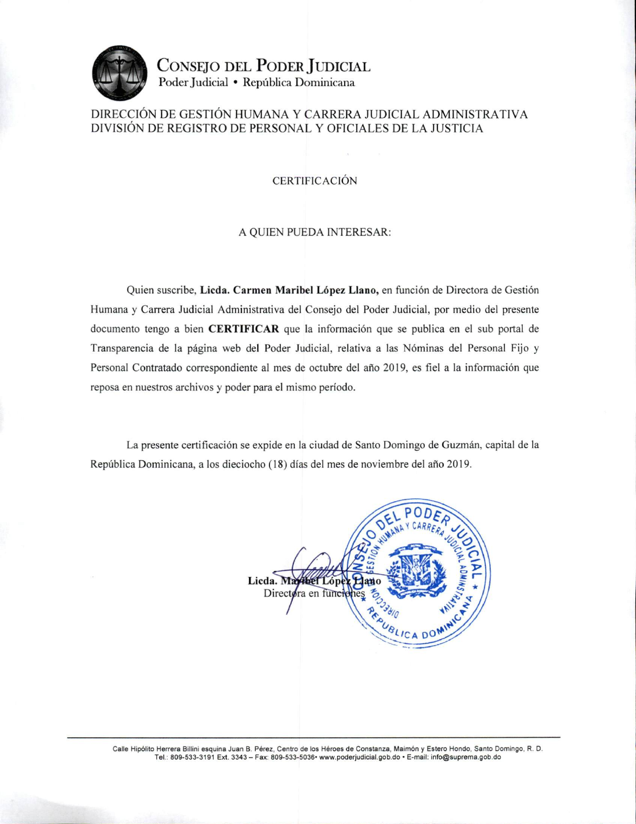

CONSEJO DEL PODER JUDICIAL Poder Judicial · República Dominicana

## DIRECCIÓN DE GESTIÓN HUMANA Y CARRERA JUDICIAL ADMINISTRATIVA DIVISIÓN DE REGISTRO DE PERSONAL Y OFICIALES DE LA JUSTICIA

### **CERTIFICACIÓN**

#### A QUIEN PUEDA INTERESAR:

Quien suscribe, Licda. Carmen Maribel López Llano, en función de Directora de Gestión Humana y Carrera Judicial Administrativa del Consejo del Poder Judicial, por medio del presente documento tengo a bien **CERTIFICAR** que la información que se publica en el sub portal de Transparencia de la página web del Poder Judicial, relativa a las Nóminas del Personal Fijo y Personal Contratado correspondiente al mes de octubre del año 2019, es fiel a la información que reposa en nuestros archivos y poder para el mismo período.

La presente certificación se expide en la ciudad de Santo Domingo de Guzmán, capital de la República Dominicana, a los dieciocho (18) días del mes de noviembre del año 2019.



Calle Hipólito Herrera Billini esquina Juan B. Pérez, Centro de los Héroes de Constanza, Maimón y Estero Hondo, Santo Domingo, R. D. Tel.: 809-533-3191 Ext. 3343 - Fax: 809-533-5036• www.poderjudicial.gob.do • E-mail: info@suprema.gob.do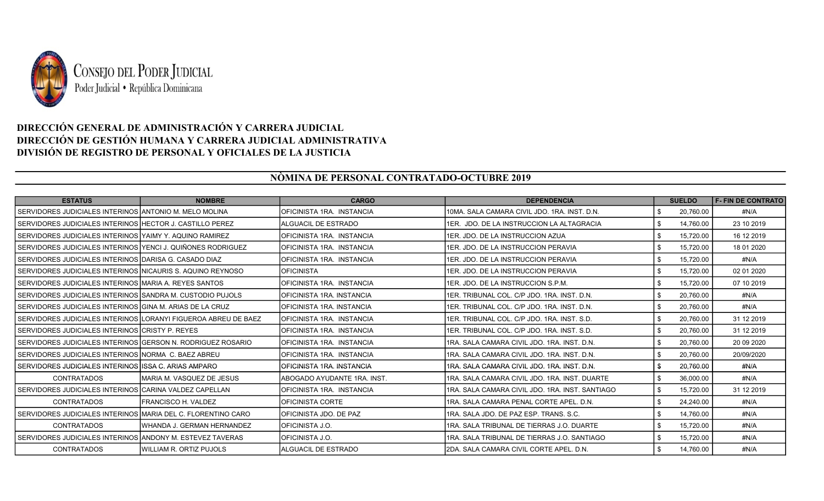

# DIRECCIÓN GENERAL DE ADMINISTRACIÓN Y CARRERA JUDICIAL DIRECCIÓN DE GESTIÓN HUMANA Y CARRERA JUDICIAL ADMINISTRATIVA DIVISIÓN DE REGISTRO DE PERSONAL Y OFICIALES DE LA JUSTICIA

## NÒMINA DE PERSONAL CONTRATADO-OCTUBRE 2019

| <b>ESTATUS</b>                                                 | <b>NOMBRE</b>                   | <b>CARGO</b>                   | <b>DEPENDENCIA</b>                              | <b>SUELDO</b>   | <b>F- FIN DE CONTRATO</b> |
|----------------------------------------------------------------|---------------------------------|--------------------------------|-------------------------------------------------|-----------------|---------------------------|
| SERVIDORES JUDICIALES INTERINOS ANTONIO M. MELO MOLINA         |                                 | IOFICINISTA 1RA. INSTANCIA     | 10MA, SALA CAMARA CIVIL JDO, 1RA, INST, D.N.    | \$<br>20,760.00 | #N/A                      |
| l SERVIDORES JUDICIALES INTERINOS IHECTOR J. CASTILLO PEREZ    |                                 | <b>IALGUACIL DE ESTRADO</b>    | 1ER. JDO. DE LA INSTRUCCION LA ALTAGRACIA       | \$<br>14.760.00 | 23 10 2019                |
| I SERVIDORES JUDICIALES INTERINOS IYAIMY Y. AQUINO RAMIREZ     |                                 | IOFICINISTA 1RA. INSTANCIA     | 1ER. JDO. DE LA INSTRUCCION AZUA                | \$<br>15,720.00 | 16 12 2019                |
| SERVIDORES JUDICIALES INTERINOS YENCI J. QUIÑONES RODRIGUEZ    |                                 | IOFICINISTA 1RA. INSTANCIA     | 1ER. JDO. DE LA INSTRUCCION PERAVIA             | \$<br>15,720.00 | 18 01 2020                |
| SERVIDORES JUDICIALES INTERINOS   DARISA G. CASADO DIAZ        |                                 | IOFICINISTA 1RA. INSTANCIA     | 1ER. JDO. DE LA INSTRUCCION PERAVIA             | \$<br>15,720.00 | #N/A                      |
| I SERVIDORES JUDICIALES INTERINOS INICAURIS S. AQUINO REYNOSO  |                                 | <b>IOFICINISTA</b>             | 1ER. JDO. DE LA INSTRUCCION PERAVIA             | \$<br>15.720.00 | 02 01 2020                |
| I SERVIDORES JUDICIALES INTERINOS IMARIA A. REYES SANTOS       |                                 | IOFICINISTA 1RA. INSTANCIA     | 1ER. JDO. DE LA INSTRUCCION S.P.M.              | \$<br>15.720.00 | 07 10 2019                |
| I SERVIDORES JUDICIALES INTERINOS ISANDRA M. CUSTODIO PUJOLS   |                                 | IOFICINISTA 1RA. INSTANCIA     | 1ER. TRIBUNAL COL. C/P JDO. 1RA. INST. D.N.     | \$<br>20,760.00 | #N/A                      |
| I SERVIDORES JUDICIALES INTERINOS IGINA M. ARIAS DE LA CRUZ    |                                 | IOFICINISTA 1RA. INSTANCIA     | 1ER. TRIBUNAL COL. C/P JDO. 1RA. INST. D.N.     | \$<br>20.760.00 | #N/A                      |
| SERVIDORES JUDICIALES INTERINOS LORANYI FIGUEROA ABREU DE BAEZ |                                 | IOFICINISTA 1RA. INSTANCIA     | 1ER. TRIBUNAL COL. C/P JDO. 1RA. INST. S.D.     | \$<br>20,760.00 | 31 12 2019                |
| I SERVIDORES JUDICIALES INTERINOS ICRISTY P. REYES.            |                                 | IOFICINISTA 1RA. INSTANCIA     | 1ER, TRIBUNAL COL, C/P JDO, 1RA, INST, S.D.     | \$<br>20,760.00 | 31 12 2019                |
| SERVIDORES JUDICIALES INTERINOS   GERSON N. RODRIGUEZ ROSARIO  |                                 | IOFICINISTA 1RA. INSTANCIA     | 1RA, SALA CAMARA CIVIL JDO, 1RA, INST, D.N.     | \$<br>20,760.00 | 20 09 20 20               |
| I SERVIDORES JUDICIALES INTERINOS INORMA_C. BAEZ ABREU         |                                 | IOFICINISTA 1RA. INSTANCIA     | I1RA. SALA CAMARA CIVIL JDO. 1RA. INST. D.N.    | \$<br>20.760.00 | 20/09/2020                |
| I SERVIDORES JUDICIALES INTERINOS IISSA C. ARIAS AMPARO        |                                 | IOFICINISTA 1RA. INSTANCIA     | I1RA. SALA CAMARA CIVIL JDO. 1RA. INST. D.N.    | \$<br>20.760.00 | #N/A                      |
| <b>CONTRATADOS</b>                                             | IMARIA M. VASQUEZ DE JESUS      | IABOGADO AYUDANTE 1RA. INST.   | 1RA, SALA CAMARA CIVIL JDO, 1RA, INST, DUARTE   | \$<br>36,000.00 | #N/A                      |
| I SERVIDORES JUDICIALES INTERINOS ICARINA VALDEZ CAPELLAN      |                                 | IOFICINISTA 1RA. INSTANCIA     | 1RA, SALA CAMARA CIVIL JDO, 1RA, INST, SANTIAGO | \$<br>15.720.00 | 31 12 2019                |
| <b>CONTRATADOS</b>                                             | <b>IFRANCISCO H. VALDEZ</b>     | IOFICINISTA CORTE              | 1RA, SALA CAMARA PENAL CORTE APEL, D.N.         | \$<br>24,240.00 | #N/A                      |
| SERVIDORES JUDICIALES INTERINOS MARIA DEL C. FLORENTINO CARO   |                                 | <b>IOFICINISTA JDO. DE PAZ</b> | 1RA, SALA JDO, DE PAZ ESP, TRANS, S.C.          | \$<br>14.760.00 | #N/A                      |
| <b>CONTRATADOS</b>                                             | WHANDA J. GERMAN HERNANDEZ      | <b>IOFICINISTA J.O.</b>        | 1RA, SALA TRIBUNAL DE TIERRAS J.O. DUARTE       | \$<br>15.720.00 | #N/A                      |
| I SERVIDORES JUDICIALES INTERINOS IANDONY M. ESTEVEZ TAVERAS   |                                 | <b>IOFICINISTA J.O.</b>        | 1RA, SALA TRIBUNAL DE TIERRAS J.O. SANTIAGO     | \$<br>15,720.00 | #N/A                      |
| <b>CONTRATADOS</b>                                             | <b>IWILLIAM R. ORTIZ PUJOLS</b> | IALGUACIL DE ESTRADO           | I2DA. SALA CAMARA CIVIL CORTE APEL. D.N.        | 14,760.00<br>\$ | #N/A                      |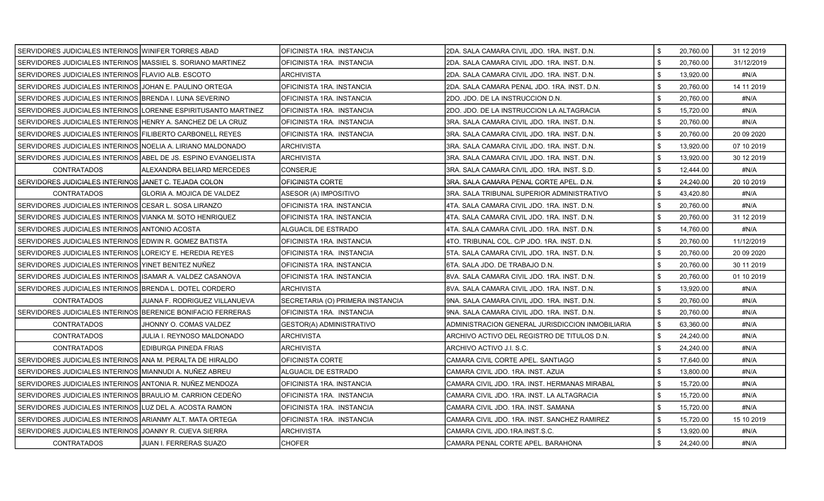| SERVIDORES JUDICIALES INTERINOS WINIFER TORRES ABAD            |                                                                | OFICINISTA 1RA. INSTANCIA        | 2DA. SALA CAMARA CIVIL JDO. 1RA. INST. D.N.      | \$<br>20,760.00 | 31 12 2019  |
|----------------------------------------------------------------|----------------------------------------------------------------|----------------------------------|--------------------------------------------------|-----------------|-------------|
| SERVIDORES JUDICIALES INTERINOS MASSIEL S. SORIANO MARTINEZ    |                                                                | OFICINISTA 1RA. INSTANCIA        | 2DA. SALA CAMARA CIVIL JDO. 1RA. INST. D.N.      | \$<br>20,760.00 | 31/12/2019  |
| SERVIDORES JUDICIALES INTERINOS FLAVIO ALB. ESCOTO             |                                                                | ARCHIVISTA                       | 2DA. SALA CAMARA CIVIL JDO. 1RA. INST. D.N.      | \$<br>13,920.00 | #N/A        |
| SERVIDORES JUDICIALES INTERINOS JJOHAN E. PAULINO ORTEGA       |                                                                | OFICINISTA 1RA. INSTANCIA        | 2DA. SALA CAMARA PENAL JDO. 1RA. INST. D.N.      | \$<br>20,760.00 | 14 11 2019  |
| SERVIDORES JUDICIALES INTERINOS BRENDA I. LUNA SEVERINO        |                                                                | OFICINISTA 1RA. INSTANCIA        | 2DO. JDO. DE LA INSTRUCCION D.N.                 | \$<br>20,760.00 | #N/A        |
|                                                                | SERVIDORES JUDICIALES INTERINOS LORENNE ESPIRITUSANTO MARTINEZ | OFICINISTA 1RA. INSTANCIA        | 2DO. JDO. DE LA INSTRUCCION LA ALTAGRACIA        | \$<br>15,720.00 | #N/A        |
| SERVIDORES JUDICIALES INTERINOS HENRY A. SANCHEZ DE LA CRUZ    |                                                                | OFICINISTA 1RA. INSTANCIA        | 3RA. SALA CAMARA CIVIL JDO. 1RA. INST. D.N.      | \$<br>20,760.00 | #N/A        |
| SERVIDORES JUDICIALES INTERINOS FILIBERTO CARBONELL REYES      |                                                                | OFICINISTA 1RA. INSTANCIA        | 3RA. SALA CAMARA CIVIL JDO. 1RA. INST. D.N.      | \$<br>20,760.00 | 20 09 20 20 |
| SERVIDORES JUDICIALES INTERINOS NOELIA A. LIRIANO MALDONADO    |                                                                | <b>ARCHIVISTA</b>                | 3RA. SALA CAMARA CIVIL JDO. 1RA. INST. D.N.      | \$<br>13,920.00 | 07 10 2019  |
| SERVIDORES JUDICIALES INTERINOS ABEL DE JS. ESPINO EVANGELISTA |                                                                | ARCHIVISTA                       | 3RA. SALA CAMARA CIVIL JDO. 1RA. INST. D.N.      | \$<br>13.920.00 | 30 12 2019  |
| <b>CONTRATADOS</b>                                             | ALEXANDRA BELIARD MERCEDES                                     | CONSERJE                         | 3RA. SALA CAMARA CIVIL JDO. 1RA. INST. S.D.      | \$<br>12,444.00 | #N/A        |
| SERVIDORES JUDICIALES INTERINOS JJANET C. TEJADA COLON         |                                                                | OFICINISTA CORTE                 | 3RA. SALA CAMARA PENAL CORTE APEL. D.N.          | \$<br>24,240.00 | 20 10 2019  |
| <b>CONTRATADOS</b>                                             | <b>GLORIA A. MOJICA DE VALDEZ</b>                              | ASESOR (A) IMPOSITIVO            | 3RA. SALA TRIBUNAL SUPERIOR ADMINISTRATIVO       | \$<br>43,420.80 | #N/A        |
| SERVIDORES JUDICIALES INTERINOS CESAR L. SOSA LIRANZO          |                                                                | OFICINISTA 1RA. INSTANCIA        | 4TA. SALA CAMARA CIVIL JDO. 1RA. INST. D.N.      | \$<br>20,760.00 | #N/A        |
| SERVIDORES JUDICIALES INTERINOS VIANKA M. SOTO HENRIQUEZ       |                                                                | OFICINISTA 1RA. INSTANCIA        | 4TA. SALA CAMARA CIVIL JDO. 1RA. INST. D.N.      | \$<br>20.760.00 | 31 12 2019  |
| SERVIDORES JUDICIALES INTERINOS ANTONIO ACOSTA                 |                                                                | ALGUACIL DE ESTRADO              | 4TA. SALA CAMARA CIVIL JDO. 1RA. INST. D.N.      | \$<br>14,760.00 | #N/A        |
| SERVIDORES JUDICIALES INTERINOS LEDWIN R. GOMEZ BATISTA        |                                                                | OFICINISTA 1RA. INSTANCIA        | 4TO. TRIBUNAL COL. C/P JDO. 1RA. INST. D.N.      | \$<br>20.760.00 | 11/12/2019  |
| SERVIDORES JUDICIALES INTERINOS LOREICY E. HEREDIA REYES       |                                                                | OFICINISTA 1RA. INSTANCIA        | 5TA. SALA CAMARA CIVIL JDO. 1RA. INST. D.N.      | \$<br>20,760.00 | 20 09 2020  |
| SERVIDORES JUDICIALES INTERINOS YINET BENITEZ NUÑEZ            |                                                                | OFICINISTA 1RA. INSTANCIA        | 6TA. SALA JDO. DE TRABAJO D.N.                   | \$<br>20,760.00 | 30 11 2019  |
| SERVIDORES JUDICIALES INTERINOS ISAMAR A. VALDEZ CASANOVA      |                                                                | OFICINISTA 1RA. INSTANCIA        | 8VA. SALA CAMARA CIVIL JDO. 1RA. INST. D.N.      | \$<br>20,760.00 | 01 10 2019  |
| SERVIDORES JUDICIALES INTERINOS BRENDA L. DOTEL CORDERO        |                                                                | ARCHIVISTA                       | 8VA. SALA CAMARA CIVIL JDO. 1RA. INST. D.N.      | \$<br>13,920.00 | #N/A        |
| <b>CONTRATADOS</b>                                             | JUANA F. RODRIGUEZ VILLANUEVA                                  | SECRETARIA (O) PRIMERA INSTANCIA | 9NA. SALA CAMARA CIVIL JDO. 1RA. INST. D.N.      | \$<br>20,760.00 | #N/A        |
| SERVIDORES JUDICIALES INTERINOS BERENICE BONIFACIO FERRERAS    |                                                                | OFICINISTA 1RA. INSTANCIA        | 9NA. SALA CAMARA CIVIL JDO. 1RA. INST. D.N.      | \$<br>20,760.00 | #N/A        |
| <b>CONTRATADOS</b>                                             | JHONNY O. COMAS VALDEZ                                         | GESTOR(A) ADMINISTRATIVO         | ADMINISTRACION GENERAL JURISDICCION INMOBILIARIA | \$<br>63.360.00 | #N/A        |
| CONTRATADOS                                                    | JULIA I. REYNOSO MALDONADO                                     | ARCHIVISTA                       | ARCHIVO ACTIVO DEL REGISTRO DE TITULOS D.N.      | \$<br>24,240.00 | #N/A        |
| <b>CONTRATADOS</b>                                             | EDIBURGA PINEDA FRIAS                                          | <b>ARCHIVISTA</b>                | ARCHIVO ACTIVO J.I. S.C.                         | \$<br>24,240.00 | #N/A        |
| SERVIDORES JUDICIALES INTERINOS ANA M. PERALTA DE HIRALDO      |                                                                | OFICINISTA CORTE                 | CAMARA CIVIL CORTE APEL. SANTIAGO                | \$<br>17,640.00 | #N/A        |
| SERVIDORES JUDICIALES INTERINOS MIANNUDI A. NUÑEZ ABREU        |                                                                | ALGUACIL DE ESTRADO              | CAMARA CIVIL JDO. 1RA. INST. AZUA                | 13,800.00       | #N/A        |
| SERVIDORES JUDICIALES INTERINOS ANTONIA R. NUÑEZ MENDOZA       |                                                                | OFICINISTA 1RA. INSTANCIA        | CAMARA CIVIL JDO. 1RA. INST. HERMANAS MIRABAL    | \$<br>15,720.00 | #N/A        |
| SERVIDORES JUDICIALES INTERINOS BRAULIO M. CARRION CEDEÑO      |                                                                | OFICINISTA 1RA. INSTANCIA        | CAMARA CIVIL JDO. 1RA. INST. LA ALTAGRACIA       | \$<br>15,720.00 | #N/A        |
| SERVIDORES JUDICIALES INTERINOS LUZ DEL A. ACOSTA RAMON        |                                                                | OFICINISTA 1RA. INSTANCIA        | CAMARA CIVIL JDO. 1RA. INST. SAMANA              | \$<br>15,720.00 | #N/A        |
| SERVIDORES JUDICIALES INTERINOS ARIANMY ALT. MATA ORTEGA       |                                                                | OFICINISTA 1RA. INSTANCIA        | CAMARA CIVIL JDO. 1RA. INST. SANCHEZ RAMIREZ     | \$<br>15,720.00 | 15 10 2019  |
| SERVIDORES JUDICIALES INTERINOS JOANNY R. CUEVA SIERRA         |                                                                | ARCHIVISTA                       | CAMARA CIVIL JDO.1RA.INST.S.C.                   | 13,920.00       | #N/A        |
| <b>CONTRATADOS</b>                                             | JUAN I. FERRERAS SUAZO                                         | <b>CHOFER</b>                    | CAMARA PENAL CORTE APEL. BARAHONA                | \$<br>24,240.00 | #N/A        |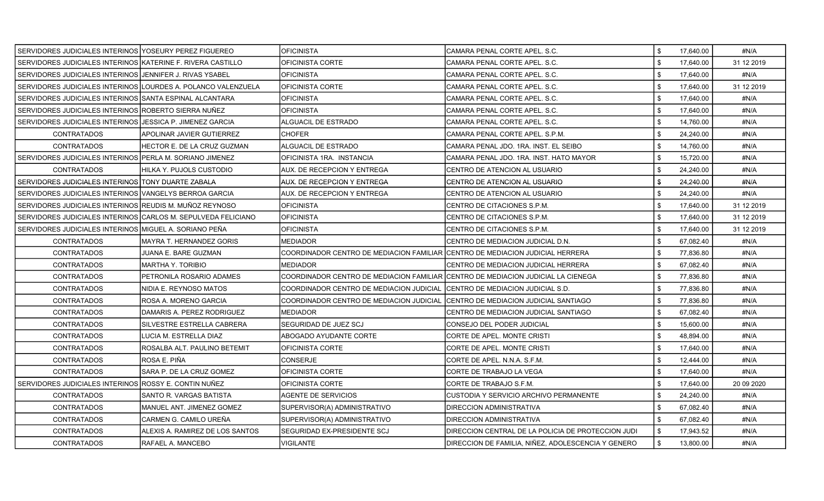| SERVIDORES JUDICIALES INTERINOS YOSEURY PEREZ FIGUEREO         |                                 | <b>OFICINISTA</b>                                                                 | CAMARA PENAL CORTE APEL. S.C.                      | \$             | 17,640.00 | #N/A        |
|----------------------------------------------------------------|---------------------------------|-----------------------------------------------------------------------------------|----------------------------------------------------|----------------|-----------|-------------|
| SERVIDORES JUDICIALES INTERINOS KATERINE F. RIVERA CASTILLO    |                                 | OFICINISTA CORTE                                                                  | CAMARA PENAL CORTE APEL, S.C.                      | $\mathbf{s}$   | 17,640.00 | 31 12 2019  |
| SERVIDORES JUDICIALES INTERINOS JJENNIFER J. RIVAS YSABEL      |                                 | <b>OFICINISTA</b>                                                                 | CAMARA PENAL CORTE APEL. S.C.                      |                | 17,640.00 | #N/A        |
| SERVIDORES JUDICIALES INTERINOS LOURDES A. POLANCO VALENZUELA  |                                 | <b>OFICINISTA CORTE</b>                                                           | CAMARA PENAL CORTE APEL. S.C.                      | \$             | 17,640.00 | 31 12 2019  |
| SERVIDORES JUDICIALES INTERINOS SSANTA ESPINAL ALCANTARA       |                                 | OFICINISTA                                                                        | CAMARA PENAL CORTE APEL. S.C.                      | \$             | 17,640.00 | #N/A        |
| SERVIDORES JUDICIALES INTERINOS ROBERTO SIERRA NUÑEZ           |                                 | <b>OFICINISTA</b>                                                                 | CAMARA PENAL CORTE APEL, S.C.                      | \$             | 17,640.00 | #N/A        |
| SERVIDORES JUDICIALES INTERINOS JJESSICA P. JIMENEZ GARCIA     |                                 | ALGUACIL DE ESTRADO                                                               | CAMARA PENAL CORTE APEL. S.C.                      | \$             | 14,760.00 | #N/A        |
| <b>CONTRATADOS</b>                                             | APOLINAR JAVIER GUTIERREZ       | <b>CHOFER</b>                                                                     | CAMARA PENAL CORTE APEL. S.P.M.                    |                | 24,240.00 | #N/A        |
| <b>CONTRATADOS</b>                                             | HECTOR E. DE LA CRUZ GUZMAN     | ALGUACIL DE ESTRADO                                                               | CAMARA PENAL JDO. 1RA. INST. EL SEIBO              | \$             | 14,760.00 | #N/A        |
| SERVIDORES JUDICIALES INTERINOS PERLA M. SORIANO JIMENEZ       |                                 | OFICINISTA 1RA. INSTANCIA                                                         | CAMARA PENAL JDO. 1RA. INST. HATO MAYOR            | \$             | 15,720.00 | #N/A        |
| <b>CONTRATADOS</b>                                             | HILKA Y. PUJOLS CUSTODIO        | AUX. DE RECEPCION Y ENTREGA                                                       | CENTRO DE ATENCION AL USUARIO                      | \$             | 24,240.00 | #N/A        |
| SERVIDORES JUDICIALES INTERINOS TONY DUARTE ZABALA             |                                 | AUX, DE RECEPCION Y ENTREGA                                                       | CENTRO DE ATENCION AL USUARIO                      | \$             | 24,240.00 | #N/A        |
| SERVIDORES JUDICIALES INTERINOS VANGELYS BERROA GARCIA         |                                 | AUX. DE RECEPCION Y ENTREGA                                                       | CENTRO DE ATENCION AL USUARIO                      |                | 24,240.00 | #N/A        |
| SERVIDORES JUDICIALES INTERINOS REUDIS M. MUNOZ REYNOSO        |                                 | <b>OFICINISTA</b>                                                                 | CENTRO DE CITACIONES S.P.M.                        | \$             | 17,640.00 | 31 12 2019  |
| SERVIDORES JUDICIALES INTERINOS ICARLOS M. SEPULVEDA FELICIANO |                                 | <b>OFICINISTA</b>                                                                 | CENTRO DE CITACIONES S.P.M.                        | \$             | 17.640.00 | 31 12 2019  |
| SERVIDORES JUDICIALES INTERINOS MIGUEL A. SORIANO PEÑA         |                                 | <b>OFICINISTA</b>                                                                 | CENTRO DE CITACIONES S.P.M.                        | \$             | 17,640.00 | 31 12 2019  |
| <b>CONTRATADOS</b>                                             | MAYRA T. HERNANDEZ GORIS        | <b>MEDIADOR</b>                                                                   | CENTRO DE MEDIACION JUDICIAL D.N.                  | \$             | 67,082.40 | #N/A        |
| <b>CONTRATADOS</b>                                             | JUANA E. BARE GUZMAN            | COORDINADOR CENTRO DE MEDIACION FAMILIAR CENTRO DE MEDIACION JUDICIAL HERRERA     |                                                    | \$             | 77,836.80 | #N/A        |
| <b>CONTRATADOS</b>                                             | <b>MARTHA Y. TORIBIO</b>        | <b>MEDIADOR</b>                                                                   | CENTRO DE MEDIACION JUDICIAL HERRERA               | \$             | 67,082.40 | #N/A        |
| <b>CONTRATADOS</b>                                             | PETRONILA ROSARIO ADAMES        | COORDINADOR CENTRO DE MEDIACION FAMILIAR CCENTRO DE MEDIACION JUDICIAL LA CIENEGA |                                                    | \$             | 77,836.80 | #N/A        |
| <b>CONTRATADOS</b>                                             | NIDIA E. REYNOSO MATOS          | COORDINADOR CENTRO DE MEDIACION JUDICIAL                                          | ICENTRO DE MEDIACION JUDICIAL S.D.                 | \$             | 77,836.80 | #N/A        |
| <b>CONTRATADOS</b>                                             | ROSA A. MORENO GARCIA           | COORDINADOR CENTRO DE MEDIACION JUDICIAL                                          | CENTRO DE MEDIACION JUDICIAL SANTIAGO              | $\mathfrak{L}$ | 77,836.80 | #N/A        |
| <b>CONTRATADOS</b>                                             | DAMARIS A. PEREZ RODRIGUEZ      | <b>MEDIADOR</b>                                                                   | CENTRO DE MEDIACION JUDICIAL SANTIAGO              | \$             | 67,082.40 | #N/A        |
| <b>CONTRATADOS</b>                                             | SILVESTRE ESTRELLA CABRERA      | <b>SEGURIDAD DE JUEZ SCJ</b>                                                      | CONSEJO DEL PODER JUDICIAL                         | \$             | 15,600.00 | #N/A        |
| <b>CONTRATADOS</b>                                             | LUCIA M. ESTRELLA DIAZ          | ABOGADO AYUDANTE CORTE                                                            | CORTE DE APEL. MONTE CRISTI                        | \$             | 48,894.00 | #N/A        |
| <b>CONTRATADOS</b>                                             | ROSALBA ALT. PAULINO BETEMIT    | OFICINISTA CORTE                                                                  | CORTE DE APEL. MONTE CRISTI                        | \$             | 17,640.00 | #N/A        |
| <b>CONTRATADOS</b>                                             | ROSA E. PIÑA                    | CONSERJE                                                                          | CORTE DE APEL. N.N.A. S.F.M.                       | \$             | 12,444.00 | #N/A        |
| <b>CONTRATADOS</b>                                             | SARA P. DE LA CRUZ GOMEZ        | OFICINISTA CORTE                                                                  | CORTE DE TRABAJO LA VEGA                           | \$             | 17,640.00 | #N/A        |
| SERVIDORES JUDICIALES INTERINOS ROSSY E. CONTIN NUÑEZ          |                                 | OFICINISTA CORTE                                                                  | CORTE DE TRABAJO S.F.M.                            | \$             | 17.640.00 | 20 09 20 20 |
| <b>CONTRATADOS</b>                                             | SANTO R. VARGAS BATISTA         | AGENTE DE SERVICIOS                                                               | CUSTODIA Y SERVICIO ARCHIVO PERMANENTE             | \$             | 24,240.00 | #N/A        |
| <b>CONTRATADOS</b>                                             | MANUEL ANT. JIMENEZ GOMEZ       | SUPERVISOR(A) ADMINISTRATIVO                                                      | DIRECCION ADMINISTRATIVA                           | \$             | 67,082.40 | #N/A        |
| <b>CONTRATADOS</b>                                             | CARMEN G. CAMILO UREÑA          | SUPERVISOR(A) ADMINISTRATIVO                                                      | DIRECCION ADMINISTRATIVA                           | \$             | 67,082.40 | #N/A        |
| <b>CONTRATADOS</b>                                             | ALEXIS A. RAMIREZ DE LOS SANTOS | <b>SEGURIDAD EX-PRESIDENTE SCJ</b>                                                | DIRECCION CENTRAL DE LA POLICIA DE PROTECCION JUDI | \$             | 17,943.52 | #N/A        |
| <b>CONTRATADOS</b>                                             | RAFAEL A. MANCEBO               | <b>VIGILANTE</b>                                                                  | DIRECCION DE FAMILIA, NIÑEZ, ADOLESCENCIA Y GENERO | $\sqrt{3}$     | 13,800.00 | #N/A        |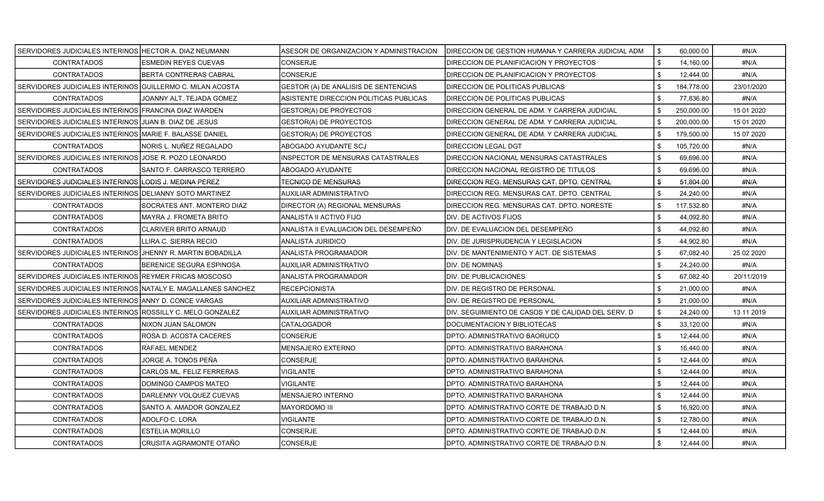| SERVIDORES JUDICIALES INTERINOS HECTOR A. DIAZ NEUMANN        |                               | ASESOR DE ORGANIZACION Y ADMINISTRACION. | DIRECCION DE GESTION HUMANA Y CARRERA JUDICIAL ADM | <b>S</b><br>60,000.00 | #N/A       |
|---------------------------------------------------------------|-------------------------------|------------------------------------------|----------------------------------------------------|-----------------------|------------|
| <b>CONTRATADOS</b>                                            | <b>ESMEDIN REYES CUEVAS</b>   | <b>CONSERJE</b>                          | DIRECCION DE PLANIFICACION Y PROYECTOS             | \$<br>14,160.00       | #N/A       |
| <b>CONTRATADOS</b>                                            | <b>BERTA CONTRERAS CABRAL</b> | <b>CONSERJE</b>                          | <b>DIRECCION DE PLANIFICACION Y PROYECTOS</b>      | \$<br>12,444.00       | #N/A       |
| SERVIDORES JUDICIALES INTERINOS GUILLERMO C. MILAN ACOSTA     |                               | GESTOR (A) DE ANALISIS DE SENTENCIAS     | DIRECCION DE POLITICAS PUBLICAS                    | \$<br>184,778.00      | 23/01/2020 |
| <b>CONTRATADOS</b>                                            | JOANNY ALT. TEJADA GOMEZ      | ASISTENTE DIRECCION POLITICAS PUBLICAS   | DIRECCION DE POLITICAS PUBLICAS                    | \$<br>77,836.80       | #N/A       |
| SERVIDORES JUDICIALES INTERINOS FRANCINA DIAZ WARDEN          |                               | GESTOR(A) DE PROYECTOS                   | DIRECCION GENERAL DE ADM. Y CARRERA JUDICIAL       | \$<br>250,000.00      | 15 01 2020 |
| SERVIDORES JUDICIALES INTERINOS JJUAN B. DIAZ DE JESUS        |                               | GESTOR(A) DE PROYECTOS                   | IDIRECCION GENERAL DE ADM. Y CARRERA JUDICIAL      | \$<br>200,000.00      | 15 01 2020 |
| SERVIDORES JUDICIALES INTERINOS MARIE F. BALASSE DANIEL       |                               | GESTOR(A) DE PROYECTOS                   | DIRECCION GENERAL DE ADM. Y CARRERA JUDICIAL       | \$<br>179,500.00      | 15 07 2020 |
| <b>CONTRATADOS</b>                                            | NORIS L. NUÑEZ REGALADO       | ABOGADO AYUDANTE SCJ                     | <b>DIRECCION LEGAL DGT</b>                         | \$<br>105,720.00      | #N/A       |
| SERVIDORES JUDICIALES INTERINOS JJOSE R. POZO LEONARDO        |                               | INSPECTOR DE MENSURAS CATASTRALES        | DIRECCION NACIONAL MENSURAS CATASTRALES            | \$<br>69.696.00       | #N/A       |
| <b>CONTRATADOS</b>                                            | SANTO F. CARRASCO TERRERO     | ABOGADO AYUDANTE                         | DIRECCION NACIONAL REGISTRO DE TITULOS             | \$<br>69,696.00       | #N/A       |
| SERVIDORES JUDICIALES INTERINOS LODIS J. MEDINA PEREZ         |                               | TECNICO DE MENSURAS                      | DIRECCION REG. MENSURAS CAT. DPTO. CENTRAL         | \$<br>51,804.00       | #N/A       |
| SERVIDORES JUDICIALES INTERINOS DELIANNY SOTO MARTINEZ        |                               | AUXILIAR ADMINISTRATIVO                  | DIRECCION REG. MENSURAS CAT. DPTO. CENTRAL         | \$<br>24,240.00       | #N/A       |
| <b>CONTRATADOS</b>                                            | SOCRATES ANT. MONTERO DIAZ    | DIRECTOR (A) REGIONAL MENSURAS           | DIRECCION REG. MENSURAS CAT. DPTO. NORESTE         | \$<br>117,532.80      | #N/A       |
| <b>CONTRATADOS</b>                                            | MAYRA J. FROMETA BRITO        | ANALISTA II ACTIVO FIJO                  | IDIV. DE ACTIVOS FIJOS                             | \$<br>44.092.80       | #N/A       |
| <b>CONTRATADOS</b>                                            | <b>CLARIVER BRITO ARNAUD</b>  | ANALISTA II EVALUACION DEL DESEMPEÑO     | IDIV. DE EVALUACION DEL DESEMPEÑO                  | \$<br>44,092.80       | #N/A       |
| <b>CONTRATADOS</b>                                            | LLIRA C. SIERRA RECIO         | ANALISTA JURIDICO                        | IDIV. DE JURISPRUDENCIA Y LEGISLACION              | \$<br>44,902.80       | #N/A       |
| SERVIDORES JUDICIALES INTERINOS JJHENNY R. MARTIN BOBADILLA   |                               | <b>ANALISTA PROGRAMADOR</b>              | <b>IDIV. DE MANTENIMIENTO Y ACT. DE SISTEMAS</b>   | \$<br>67,082.40       | 25 02 2020 |
| <b>CONTRATADOS</b>                                            | BERENICE SEGURA ESPINOSA      | AUXILIAR ADMINISTRATIVO                  | IDIV. DE NOMINAS                                   | \$<br>24,240.00       | #N/A       |
| SERVIDORES JUDICIALES INTERINOS REYMER FRICAS MOSCOSO         |                               | ANALISTA PROGRAMADOR                     | <b>DIV. DE PUBLICACIONES</b>                       | \$<br>67,082.40       | 20/11/2019 |
| SERVIDORES JUDICIALES INTERINOS INATALY E. MAGALLANES SANCHEZ |                               | <b>RECEPCIONISTA</b>                     | IDIV. DE REGISTRO DE PERSONAL                      | \$<br>21,000.00       | #N/A       |
| SERVIDORES JUDICIALES INTERINOS ANNY D. CONCE VARGAS          |                               | AUXILIAR ADMINISTRATIVO                  | <b>I</b> DIV. DE REGISTRO DE PERSONAL              | \$<br>21,000.00       | #N/A       |
| SERVIDORES JUDICIALES INTERINOS ROSSILLY C. MELO GONZALEZ     |                               | AUXILIAR ADMINISTRATIVO                  | DIV. SEGUIMIENTO DE CASOS Y DE CALIDAD DEL SERV. D | \$<br>24,240.00       | 13 11 2019 |
| <b>CONTRATADOS</b>                                            | NIXON JUAN SALOMON            | CATALOGADOR                              | DOCUMENTACION Y BIBLIOTECAS                        | \$<br>33,120.00       | #N/A       |
| <b>CONTRATADOS</b>                                            | ROSA D. ACOSTA CACERES        | CONSERJE                                 | DPTO. ADMINISTRATIVO BAORUCO                       | \$<br>12,444.00       | #N/A       |
| <b>CONTRATADOS</b>                                            | RAFAEL MENDEZ                 | MENSAJERO EXTERNO                        | IDPTO. ADMINISTRATIVO BARAHONA                     | \$<br>16,440.00       | #N/A       |
| <b>CONTRATADOS</b>                                            | JORGE A. TONOS PEÑA           | CONSERJE                                 | DPTO. ADMINISTRATIVO BARAHONA                      | \$<br>12,444.00       | #N/A       |
| <b>CONTRATADOS</b>                                            | CARLOS ML. FELIZ FERRERAS     | VIGILANTE                                | IDPTO. ADMINISTRATIVO BARAHONA                     | 12,444.00<br>\$       | #N/A       |
| <b>CONTRATADOS</b>                                            | DOMINGO CAMPOS MATEO          | VIGILANTE                                | IDPTO. ADMINISTRATIVO BARAHONA                     | \$<br>12,444.00       | #N/A       |
| <b>CONTRATADOS</b>                                            | DARLENNY VOLQUEZ CUEVAS       | MENSAJERO INTERNO                        | IDPTO. ADMINISTRATIVO BARAHONA                     | \$<br>12,444.00       | #N/A       |
| <b>CONTRATADOS</b>                                            | SANTO A. AMADOR GONZALEZ      | <b>MAYORDOMO III</b>                     | DPTO. ADMINISTRATIVO CORTE DE TRABAJO D.N.         | \$<br>16,920.00       | #N/A       |
| <b>CONTRATADOS</b>                                            | ADOLFO C. LORA                | <b>VIGILANTE</b>                         | DPTO. ADMINISTRATIVO CORTE DE TRABAJO D.N.         | \$<br>12,780.00       | #N/A       |
| <b>CONTRATADOS</b>                                            | ESTELIA MORILLO               | CONSERJE                                 | IDPTO. ADMINISTRATIVO CORTE DE TRABAJO D.N.        | 12,444.00             | #N/A       |
| <b>CONTRATADOS</b>                                            | CRUSITA AGRAMONTE OTAÑO       | CONSERJE                                 | IDPTO. ADMINISTRATIVO CORTE DE TRABAJO D.N.        | \$<br>12,444.00       | #N/A       |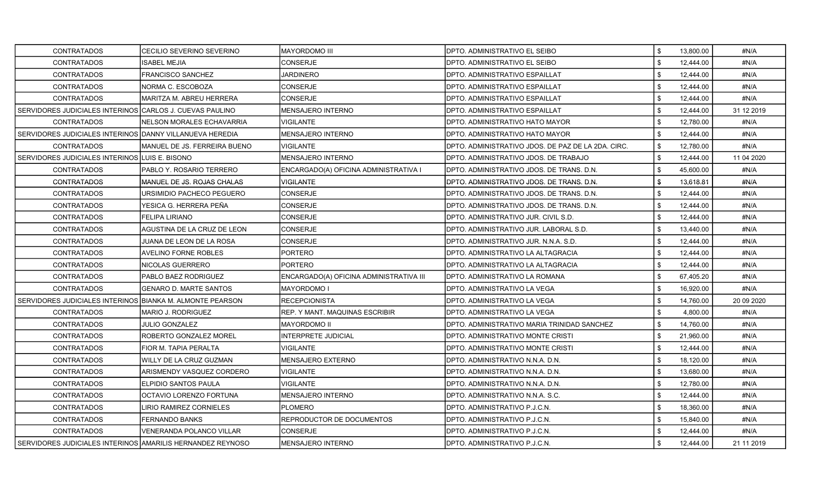| <b>CONTRATADOS</b>                                         | CECILIO SEVERINO SEVERINO        | <b>MAYORDOMO III</b>                    | DPTO. ADMINISTRATIVO EL SEIBO                      | \$             | 13,800.00 | #N/A        |
|------------------------------------------------------------|----------------------------------|-----------------------------------------|----------------------------------------------------|----------------|-----------|-------------|
| <b>CONTRATADOS</b>                                         | <b>ISABEL MEJIA</b>              | <b>CONSERJE</b>                         | DPTO. ADMINISTRATIVO EL SEIBO                      | $\mathfrak{L}$ | 12,444.00 | #N/A        |
| <b>CONTRATADOS</b>                                         | <b>FRANCISCO SANCHEZ</b>         | JARDINERO                               | DPTO. ADMINISTRATIVO ESPAILLAT                     |                | 12,444.00 | #N/A        |
| <b>CONTRATADOS</b>                                         | NORMA C. ESCOBOZA                | <b>CONSERJE</b>                         | DPTO. ADMINISTRATIVO ESPAILLAT                     | \$             | 12,444.00 | #N/A        |
| CONTRATADOS                                                | MARITZA M. ABREU HERRERA         | <b>CONSERJE</b>                         | DPTO. ADMINISTRATIVO ESPAILLAT                     | \$             | 12,444.00 | #N/A        |
| SERVIDORES JUDICIALES INTERINOS CARLOS J. CUEVAS PAULINO   |                                  | <b>MENSAJERO INTERNO</b>                | DPTO. ADMINISTRATIVO ESPAILLAT                     | \$             | 12,444.00 | 31 12 2019  |
| <b>CONTRATADOS</b>                                         | <b>NELSON MORALES ECHAVARRIA</b> | <b>VIGILANTE</b>                        | DPTO. ADMINISTRATIVO HATO MAYOR                    | \$             | 12,780.00 | #N/A        |
| SERVIDORES JUDICIALES INTERINOS DANNY VILLANUEVA HEREDIA   |                                  | MENSAJERO INTERNO                       | DPTO. ADMINISTRATIVO HATO MAYOR                    |                | 12,444.00 | #N/A        |
| <b>CONTRATADOS</b>                                         | MANUEL DE JS. FERREIRA BUENO     | <b>VIGILANTE</b>                        | DPTO. ADMINISTRATIVO JDOS. DE PAZ DE LA 2DA. CIRC. | \$             | 12,780.00 | #N/A        |
| SERVIDORES JUDICIALES INTERINOS LUIS E. BISONO             |                                  | <b>MENSAJERO INTERNO</b>                | DPTO. ADMINISTRATIVO JDOS. DE TRABAJO              | \$             | 12,444.00 | 11 04 2020  |
| <b>CONTRATADOS</b>                                         | PABLO Y. ROSARIO TERRERO         | ENCARGADO(A) OFICINA ADMINISTRATIVA I   | DPTO. ADMINISTRATIVO JDOS. DE TRANS. D.N.          | \$             | 45,600.00 | #N/A        |
| <b>CONTRATADOS</b>                                         | MANUEL DE JS. ROJAS CHALAS       | <b>VIGILANTE</b>                        | DPTO, ADMINISTRATIVO JDOS, DE TRANS, D.N.          | \$             | 13,618.81 | #N/A        |
| <b>CONTRATADOS</b>                                         | URSIMIDIO PACHECO PEGUERO        | <b>CONSERJE</b>                         | DPTO. ADMINISTRATIVO JDOS. DE TRANS. D.N.          |                | 12,444.00 | #N/A        |
| <b>CONTRATADOS</b>                                         | YESICA G. HERRERA PEÑA           | <b>CONSERJE</b>                         | DPTO. ADMINISTRATIVO JDOS. DE TRANS. D.N.          | \$             | 12,444.00 | #N/A        |
| <b>CONTRATADOS</b>                                         | <b>FELIPA LIRIANO</b>            | <b>CONSERJE</b>                         | DPTO. ADMINISTRATIVO JUR. CIVIL S.D.               | \$             | 12,444.00 | #N/A        |
| <b>CONTRATADOS</b>                                         | AGUSTINA DE LA CRUZ DE LEON      | <b>CONSERJE</b>                         | DPTO. ADMINISTRATIVO JUR. LABORAL S.D.             | \$             | 13,440.00 | #N/A        |
| <b>CONTRATADOS</b>                                         | JUANA DE LEON DE LA ROSA         | <b>CONSERJE</b>                         | DPTO. ADMINISTRATIVO JUR. N.N.A. S.D.              | \$             | 12,444.00 | #N/A        |
| <b>CONTRATADOS</b>                                         | AVELINO FORNE ROBLES             | <b>PORTERO</b>                          | DPTO. ADMINISTRATIVO LA ALTAGRACIA                 | \$             | 12,444.00 | #N/A        |
| <b>CONTRATADOS</b>                                         | NICOLAS GUERRERO                 | <b>PORTERO</b>                          | DPTO. ADMINISTRATIVO LA ALTAGRACIA                 | \$             | 12,444.00 | #N/A        |
| <b>CONTRATADOS</b>                                         | PABLO BAEZ RODRIGUEZ             | ENCARGADO(A) OFICINA ADMINISTRATIVA III | DPTO. ADMINISTRATIVO LA ROMANA                     | \$             | 67,405.20 | #N/A        |
| <b>CONTRATADOS</b>                                         | <b>GENARO D. MARTE SANTOS</b>    | MAYORDOMO I                             | DPTO. ADMINISTRATIVO LA VEGA                       | \$             | 16,920.00 | #N/A        |
| SERVIDORES JUDICIALES INTERINOS BIANKA M. ALMONTE PEARSON  |                                  | <b>RECEPCIONISTA</b>                    | DPTO. ADMINISTRATIVO LA VEGA                       | \$             | 14,760.00 | 20 09 20 20 |
| <b>CONTRATADOS</b>                                         | <b>MARIO J. RODRIGUEZ</b>        | <b>REP. Y MANT. MAQUINAS ESCRIBIR</b>   | DPTO. ADMINISTRATIVO LA VEGA                       |                | 4,800.00  | #N/A        |
| <b>CONTRATADOS</b>                                         | <b>JULIO GONZALEZ</b>            | <b>MAYORDOMO II</b>                     | DPTO. ADMINISTRATIVO MARIA TRINIDAD SANCHEZ        | \$             | 14,760.00 | #N/A        |
| <b>CONTRATADOS</b>                                         | ROBERTO GONZALEZ MOREL           | <b>INTERPRETE JUDICIAL</b>              | DPTO. ADMINISTRATIVO MONTE CRISTI                  | \$             | 21,960.00 | #N/A        |
| <b>CONTRATADOS</b>                                         | FIOR M. TAPIA PERALTA            | VIGILANTE                               | DPTO. ADMINISTRATIVO MONTE CRISTI                  | \$             | 12,444.00 | #N/A        |
| <b>CONTRATADOS</b>                                         | WILLY DE LA CRUZ GUZMAN          | <b>MENSAJERO EXTERNO</b>                | DPTO. ADMINISTRATIVO N.N.A. D.N.                   | \$             | 18,120.00 | #N/A        |
| <b>CONTRATADOS</b>                                         | ARISMENDY VASQUEZ CORDERO        | <b>VIGILANTE</b>                        | DPTO. ADMINISTRATIVO N.N.A. D.N.                   | \$             | 13,680.00 | #N/A        |
| <b>CONTRATADOS</b>                                         | <b>ELPIDIO SANTOS PAULA</b>      | <b>VIGILANTE</b>                        | DPTO. ADMINISTRATIVO N.N.A. D.N.                   | \$             | 12.780.00 | #N/A        |
| <b>CONTRATADOS</b>                                         | OCTAVIO LORENZO FORTUNA          | <b>MENSAJERO INTERNO</b>                | DPTO. ADMINISTRATIVO N.N.A. S.C.                   | \$             | 12,444.00 | #N/A        |
| <b>CONTRATADOS</b>                                         | <b>LIRIO RAMIREZ CORNIELES</b>   | <b>PLOMERO</b>                          | DPTO. ADMINISTRATIVO P.J.C.N.                      | \$             | 18,360.00 | #N/A        |
| <b>CONTRATADOS</b>                                         | <b>FERNANDO BANKS</b>            | REPRODUCTOR DE DOCUMENTOS               | DPTO. ADMINISTRATIVO P.J.C.N.                      | \$             | 15,840.00 | #N/A        |
| <b>CONTRATADOS</b>                                         | <b>VENERANDA POLANCO VILLAR</b>  | <b>CONSERJE</b>                         | DPTO. ADMINISTRATIVO P.J.C.N.                      |                | 12,444.00 | #N/A        |
| SERVIDORES JUDICIALES INTERINOS AMARILIS HERNANDEZ REYNOSO |                                  | <b>MENSAJERO INTERNO</b>                | DPTO. ADMINISTRATIVO P.J.C.N.                      | \$             | 12,444.00 | 21 11 2019  |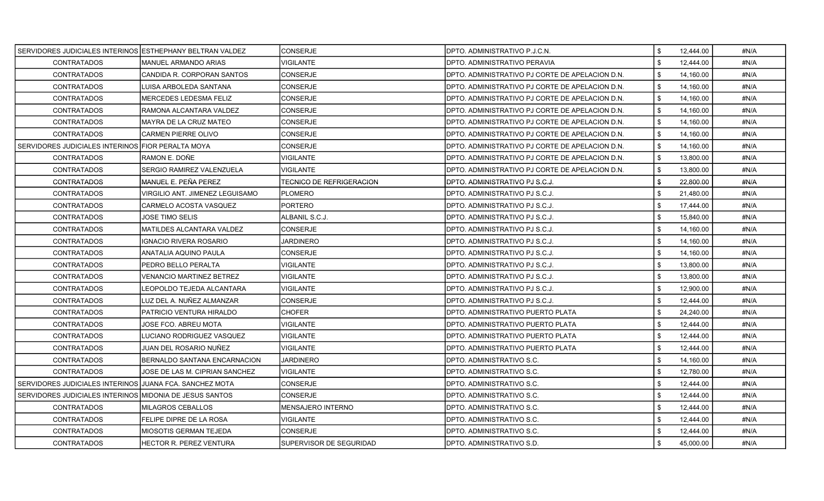| SERVIDORES JUDICIALES INTERINOS LESTHEPHANY BELTRAN VALDEZ |                                 | CONSERJE                 | DPTO. ADMINISTRATIVO P.J.C.N.                   | \$<br>12,444.00   | #N/A |
|------------------------------------------------------------|---------------------------------|--------------------------|-------------------------------------------------|-------------------|------|
| <b>CONTRATADOS</b>                                         | <b>MANUEL ARMANDO ARIAS</b>     | <b>VIGILANTE</b>         | DPTO. ADMINISTRATIVO PERAVIA                    | \$<br>12,444.00   | #N/A |
| <b>CONTRATADOS</b>                                         | CANDIDA R. CORPORAN SANTOS      | <b>CONSERJE</b>          | DPTO. ADMINISTRATIVO PJ CORTE DE APELACION D.N. | \$<br>14,160.00   | #N/A |
| <b>CONTRATADOS</b>                                         | LUISA ARBOLEDA SANTANA          | <b>CONSERJE</b>          | DPTO. ADMINISTRATIVO PJ CORTE DE APELACION D.N. | \$<br>14,160.00   | #N/A |
| <b>CONTRATADOS</b>                                         | <b>MERCEDES LEDESMA FELIZ</b>   | <b>CONSERJE</b>          | DPTO. ADMINISTRATIVO PJ CORTE DE APELACION D.N. | \$<br>14.160.00   | #N/A |
| <b>CONTRATADOS</b>                                         | RAMONA ALCANTARA VALDEZ         | CONSERJE                 | DPTO. ADMINISTRATIVO PJ CORTE DE APELACION D.N. | \$<br>14,160.00   | #N/A |
| <b>CONTRATADOS</b>                                         | MAYRA DE LA CRUZ MATEO          | <b>CONSERJE</b>          | DPTO. ADMINISTRATIVO PJ CORTE DE APELACION D.N. | \$<br>14,160.00   | #N/A |
| CONTRATADOS                                                | <b>CARMEN PIERRE OLIVO</b>      | <b>CONSERJE</b>          | DPTO. ADMINISTRATIVO PJ CORTE DE APELACION D.N. | \$<br>14,160.00   | #N/A |
| SERVIDORES JUDICIALES INTERINOS FIOR PERALTA MOYA          |                                 | <b>CONSERJE</b>          | DPTO. ADMINISTRATIVO PJ CORTE DE APELACION D.N. | \$<br>14,160.00   | #N/A |
| <b>CONTRATADOS</b>                                         | RAMON E. DOÑE                   | VIGILANTE                | DPTO. ADMINISTRATIVO PJ CORTE DE APELACION D.N. | \$<br>13.800.00   | #N/A |
| <b>CONTRATADOS</b>                                         | SERGIO RAMIREZ VALENZUELA       | VIGILANTE                | DPTO. ADMINISTRATIVO PJ CORTE DE APELACION D.N. | \$<br>13,800.00   | #N/A |
| <b>CONTRATADOS</b>                                         | MANUEL E. PEÑA PEREZ            | TECNICO DE REFRIGERACION | DPTO. ADMINISTRATIVO PJ S.C.J.                  | \$<br>22,800.00   | #N/A |
| CONTRATADOS                                                | VIRGILIO ANT. JIMENEZ LEGUISAMO | <b>PLOMERO</b>           | DPTO. ADMINISTRATIVO PJ S.C.J.                  | \$<br>21,480.00   | #N/A |
| <b>CONTRATADOS</b>                                         | CARMELO ACOSTA VASQUEZ          | <b>PORTERO</b>           | DPTO. ADMINISTRATIVO PJ S.C.J.                  | \$<br>17,444.00   | #N/A |
| <b>CONTRATADOS</b>                                         | JOSE TIMO SELIS                 | ALBANIL S.C.J.           | DPTO. ADMINISTRATIVO PJ S.C.J.                  | \$<br>15.840.00   | #N/A |
| <b>CONTRATADOS</b>                                         | MATILDES ALCANTARA VALDEZ       | CONSERJE                 | DPTO. ADMINISTRATIVO PJ S.C.J.                  | \$<br>14,160.00   | #N/A |
| <b>CONTRATADOS</b>                                         | IGNACIO RIVERA ROSARIO          | JARDINERO                | DPTO. ADMINISTRATIVO PJ S.C.J.                  | \$<br>14,160.00   | #N/A |
| <b>CONTRATADOS</b>                                         | ANATALIA AQUINO PAULA           | <b>CONSERJE</b>          | DPTO. ADMINISTRATIVO PJ S.C.J.                  | \$<br>14,160.00   | #N/A |
| <b>CONTRATADOS</b>                                         | PEDRO BELLO PERALTA             | <b>VIGILANTE</b>         | DPTO. ADMINISTRATIVO PJ S.C.J.                  | l \$<br>13,800.00 | #N/A |
| CONTRATADOS                                                | <b>VENANCIO MARTINEZ BETREZ</b> | VIGILANTE                | DPTO. ADMINISTRATIVO PJ S.C.J.                  | \$<br>13,800.00   | #N/A |
| <b>CONTRATADOS</b>                                         | LEOPOLDO TEJEDA ALCANTARA       | VIGILANTE                | DPTO. ADMINISTRATIVO PJ S.C.J.                  | \$<br>12,900.00   | #N/A |
| <b>CONTRATADOS</b>                                         | LUZ DEL A. NUÑEZ ALMANZAR       | <b>CONSERJE</b>          | DPTO. ADMINISTRATIVO PJ S.C.J.                  | \$<br>12,444.00   | #N/A |
| <b>CONTRATADOS</b>                                         | PATRICIO VENTURA HIRALDO        | <b>CHOFER</b>            | DPTO. ADMINISTRATIVO PUERTO PLATA               | \$<br>24,240.00   | #N/A |
| <b>CONTRATADOS</b>                                         | JOSE FCO. ABREU MOTA            | <b>VIGILANTE</b>         | DPTO. ADMINISTRATIVO PUERTO PLATA               | -\$<br>12,444.00  | #N/A |
| CONTRATADOS                                                | LUCIANO RODRIGUEZ VASQUEZ       | VIGILANTE                | DPTO. ADMINISTRATIVO PUERTO PLATA               | \$<br>12,444.00   | #N/A |
| <b>CONTRATADOS</b>                                         | JUAN DEL ROSARIO NUÑEZ          | VIGILANTE                | DPTO. ADMINISTRATIVO PUERTO PLATA               | \$<br>12,444.00   | #N/A |
| <b>CONTRATADOS</b>                                         | BERNALDO SANTANA ENCARNACION    | <b>JARDINERO</b>         | DPTO. ADMINISTRATIVO S.C.                       | \$<br>14,160.00   | #N/A |
| <b>CONTRATADOS</b>                                         | JOSE DE LAS M. CIPRIAN SANCHEZ  | VIGILANTE                | DPTO. ADMINISTRATIVO S.C.                       | \$<br>12,780.00   | #N/A |
| SERVIDORES JUDICIALES INTERINOS JJUANA FCA. SANCHEZ MOTA   |                                 | CONSERJE                 | DPTO. ADMINISTRATIVO S.C.                       | \$<br>12,444.00   | #N/A |
| SERVIDORES JUDICIALES INTERINOS MIDONIA DE JESUS SANTOS    |                                 | CONSERJE                 | DPTO. ADMINISTRATIVO S.C.                       | \$<br>12,444.00   | #N/A |
| <b>CONTRATADOS</b>                                         | MILAGROS CEBALLOS               | MENSAJERO INTERNO        | DPTO. ADMINISTRATIVO S.C.                       | \$<br>12,444.00   | #N/A |
| <b>CONTRATADOS</b>                                         | FELIPE DIPRE DE LA ROSA         | <b>VIGILANTE</b>         | DPTO. ADMINISTRATIVO S.C.                       | \$<br>12,444.00   | #N/A |
| <b>CONTRATADOS</b>                                         | <b>MIOSOTIS GERMAN TEJEDA</b>   | <b>CONSERJE</b>          | DPTO. ADMINISTRATIVO S.C.                       | \$<br>12,444.00   | #N/A |
| <b>CONTRATADOS</b>                                         | HECTOR R. PEREZ VENTURA         | SUPERVISOR DE SEGURIDAD  | DPTO. ADMINISTRATIVO S.D.                       | \$<br>45,000.00   | #N/A |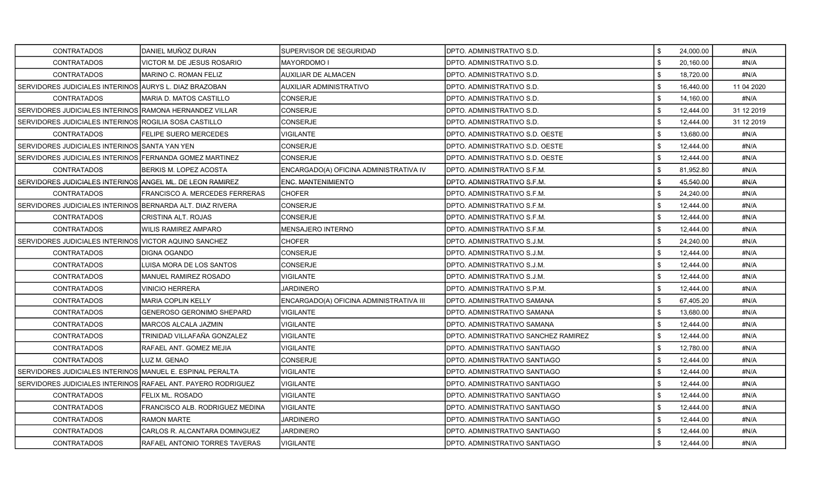| <b>CONTRATADOS</b>                                           | DANIEL MUÑOZ DURAN                   | SUPERVISOR DE SEGURIDAD                 | IDPTO. ADMINISTRATIVO S.D.           | \$<br>24,000.00 | #N/A       |
|--------------------------------------------------------------|--------------------------------------|-----------------------------------------|--------------------------------------|-----------------|------------|
| <b>CONTRATADOS</b>                                           | VICTOR M. DE JESUS ROSARIO           | <b>MAYORDOMOI</b>                       | DPTO. ADMINISTRATIVO S.D.            | \$<br>20,160.00 | #N/A       |
| CONTRATADOS                                                  | MARINO C. ROMAN FELIZ                | AUXILIAR DE ALMACEN                     | DPTO. ADMINISTRATIVO S.D.            | 18,720.00       | #N/A       |
| SERVIDORES JUDICIALES INTERINOS AURYS L. DIAZ BRAZOBAN       |                                      | AUXILIAR ADMINISTRATIVO                 | DPTO. ADMINISTRATIVO S.D.            | \$<br>16,440.00 | 11 04 2020 |
| <b>CONTRATADOS</b>                                           | MARIA D. MATOS CASTILLO              | CONSERJE                                | DPTO, ADMINISTRATIVO S.D.            | \$<br>14,160.00 | #N/A       |
| SERVIDORES JUDICIALES INTERINOS RAMONA HERNANDEZ VILLAR      |                                      | CONSERJE                                | DPTO. ADMINISTRATIVO S.D.            | \$<br>12,444.00 | 31 12 2019 |
| SERVIDORES JUDICIALES INTERINOS ROGILIA SOSA CASTILLO        |                                      | CONSERJE                                | DPTO. ADMINISTRATIVO S.D.            | \$<br>12,444.00 | 31 12 2019 |
| <b>CONTRATADOS</b>                                           | FELIPE SUERO MERCEDES                | <b>VIGILANTE</b>                        | DPTO. ADMINISTRATIVO S.D. OESTE      | \$<br>13,680.00 | #N/A       |
| SERVIDORES JUDICIALES INTERINOS SANTA YAN YEN                |                                      | <b>CONSERJE</b>                         | IDPTO. ADMINISTRATIVO S.D. OESTE     | \$<br>12,444.00 | #N/A       |
| SERVIDORES JUDICIALES INTERINOS FERNANDA GOMEZ MARTINEZ      |                                      | CONSERJE                                | DPTO. ADMINISTRATIVO S.D. OESTE      | \$<br>12,444.00 | #N/A       |
| <b>CONTRATADOS</b>                                           | <b>BERKIS M. LOPEZ ACOSTA</b>        | ENCARGADO(A) OFICINA ADMINISTRATIVA IV  | DPTO. ADMINISTRATIVO S.F.M.          | \$<br>81,952.80 | #N/A       |
| SERVIDORES JUDICIALES INTERINOS ANGEL ML. DE LEON RAMIREZ    |                                      | ENC. MANTENIMIENTO                      | DPTO. ADMINISTRATIVO S.F.M.          | \$<br>45,540.00 | #N/A       |
| <b>CONTRATADOS</b>                                           | FRANCISCO A. MERCEDES FERRERAS       | CHOFER                                  | DPTO. ADMINISTRATIVO S.F.M.          | 24,240.00       | #N/A       |
| SERVIDORES JUDICIALES INTERINOS BERNARDA ALT. DIAZ RIVERA    |                                      | CONSERJE                                | DPTO. ADMINISTRATIVO S.F.M.          | \$<br>12,444.00 | #N/A       |
| <b>CONTRATADOS</b>                                           | CRISTINA ALT. ROJAS                  | CONSERJE                                | DPTO. ADMINISTRATIVO S.F.M.          | \$<br>12.444.00 | #N/A       |
| <b>CONTRATADOS</b>                                           | WILIS RAMIREZ AMPARO                 | MENSAJERO INTERNO                       | DPTO. ADMINISTRATIVO S.F.M.          | \$<br>12,444.00 | #N/A       |
| SERVIDORES JUDICIALES INTERINOS VICTOR AQUINO SANCHEZ        |                                      | <b>CHOFER</b>                           | DPTO. ADMINISTRATIVO S.J.M.          | \$<br>24,240.00 | #N/A       |
| <b>CONTRATADOS</b>                                           | DIGNA OGANDO                         | <b>CONSERJE</b>                         | DPTO. ADMINISTRATIVO S.J.M.          | \$<br>12,444.00 | #N/A       |
| <b>CONTRATADOS</b>                                           | LUISA MORA DE LOS SANTOS             | <b>CONSERJE</b>                         | IDPTO. ADMINISTRATIVO S.J.M.         | \$<br>12,444.00 | #N/A       |
| <b>CONTRATADOS</b>                                           | MANUEL RAMIREZ ROSADO                | VIGILANTE                               | DPTO. ADMINISTRATIVO S.J.M.          | \$<br>12,444.00 | #N/A       |
| <b>CONTRATADOS</b>                                           | VINICIO HERRERA                      | <b>JARDINERO</b>                        | DPTO. ADMINISTRATIVO S.P.M.          | \$<br>12,444.00 | #N/A       |
| <b>CONTRATADOS</b>                                           | <b>MARIA COPLIN KELLY</b>            | ENCARGADO(A) OFICINA ADMINISTRATIVA III | DPTO. ADMINISTRATIVO SAMANA          | \$<br>67,405.20 | #N/A       |
| <b>CONTRATADOS</b>                                           | GENEROSO GERONIMO SHEPARD            | VIGILANTE                               | DPTO. ADMINISTRATIVO SAMANA          | 13,680.00       | #N/A       |
| <b>CONTRATADOS</b>                                           | MARCOS ALCALA JAZMIN                 | VIGILANTE                               | DPTO. ADMINISTRATIVO SAMANA          | \$<br>12,444.00 | #N/A       |
| <b>CONTRATADOS</b>                                           | TRINIDAD VILLAFAÑA GONZALEZ          | VIGILANTE                               | DPTO. ADMINISTRATIVO SANCHEZ RAMIREZ | \$<br>12,444.00 | #N/A       |
| <b>CONTRATADOS</b>                                           | RAFAEL ANT. GOMEZ MEJIA              | VIGILANTE                               | DPTO. ADMINISTRATIVO SANTIAGO        | \$<br>12,780.00 | #N/A       |
| <b>CONTRATADOS</b>                                           | LUZ M. GENAO                         | CONSERJE                                | DPTO. ADMINISTRATIVO SANTIAGO        | \$<br>12,444.00 | #N/A       |
| SERVIDORES JUDICIALES INTERINOS MANUEL E. ESPINAL PERALTA    |                                      | VIGILANTE                               | DPTO. ADMINISTRATIVO SANTIAGO        | \$<br>12,444.00 | #N/A       |
| SERVIDORES JUDICIALES INTERINOS RAFAEL ANT. PAYERO RODRIGUEZ |                                      | VIGILANTE                               | IDPTO. ADMINISTRATIVO SANTIAGO       | \$<br>12,444.00 | #N/A       |
| <b>CONTRATADOS</b>                                           | FELIX ML. ROSADO                     | VIGILANTE                               | DPTO. ADMINISTRATIVO SANTIAGO        | \$<br>12,444.00 | #N/A       |
| <b>CONTRATADOS</b>                                           | FRANCISCO ALB. RODRIGUEZ MEDINA      | VIGILANTE                               | DPTO. ADMINISTRATIVO SANTIAGO        | \$<br>12,444.00 | #N/A       |
| <b>CONTRATADOS</b>                                           | <b>RAMON MARTE</b>                   | <b>JARDINERO</b>                        | DPTO. ADMINISTRATIVO SANTIAGO        | \$<br>12,444.00 | #N/A       |
| <b>CONTRATADOS</b>                                           | CARLOS R. ALCANTARA DOMINGUEZ        | JARDINERO                               | DPTO. ADMINISTRATIVO SANTIAGO        | 12,444.00       | #N/A       |
| <b>CONTRATADOS</b>                                           | <b>RAFAEL ANTONIO TORRES TAVERAS</b> | <b>VIGILANTE</b>                        | <b>DPTO. ADMINISTRATIVO SANTIAGO</b> | \$<br>12,444.00 | #N/A       |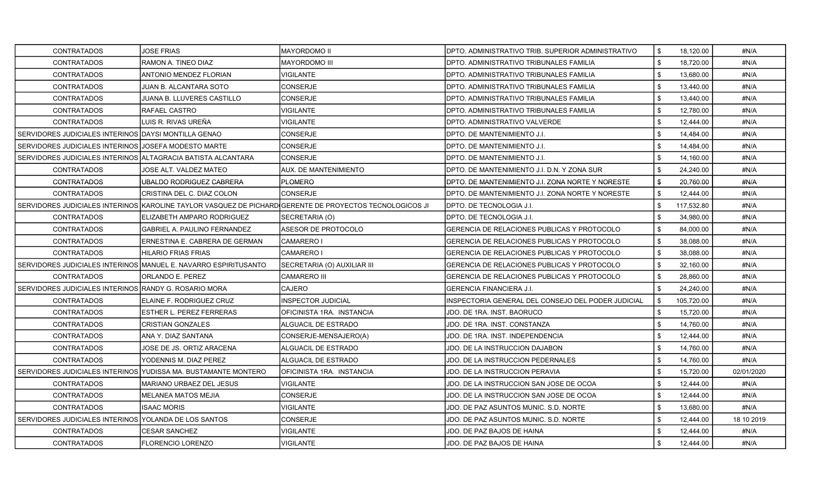| CONTRATADOS                                                  | <b>JOSE FRIAS</b>                                               | MAYORDOMO II                                                                                            | DPTO. ADMINISTRATIVO TRIB. SUPERIOR ADMINISTRATIVO | l \$           | 18,120.00  | #N/A       |
|--------------------------------------------------------------|-----------------------------------------------------------------|---------------------------------------------------------------------------------------------------------|----------------------------------------------------|----------------|------------|------------|
| CONTRATADOS                                                  | RAMON A. TINEO DIAZ                                             | <b>MAYORDOMO III</b>                                                                                    | DPTO. ADMINISTRATIVO TRIBUNALES FAMILIA            | \$             | 18,720.00  | #N/A       |
| <b>CONTRATADOS</b>                                           | ANTONIO MENDEZ FLORIAN                                          | <b>VIGILANTE</b>                                                                                        | DPTO. ADMINISTRATIVO TRIBUNALES FAMILIA            | $\mathfrak{L}$ | 13,680.00  | #N/A       |
| <b>CONTRATADOS</b>                                           | JUAN B. ALCANTARA SOTO                                          | <b>CONSERJE</b>                                                                                         | DPTO. ADMINISTRATIVO TRIBUNALES FAMILIA            | \$             | 13,440.00  | #N/A       |
| <b>CONTRATADOS</b>                                           | JUANA B. LLUVERES CASTILLO                                      | CONSERJE                                                                                                | DPTO. ADMINISTRATIVO TRIBUNALES FAMILIA            | \$             | 13,440.00  | #N/A       |
| <b>CONTRATADOS</b>                                           | RAFAEL CASTRO                                                   | VIGILANTE                                                                                               | DPTO. ADMINISTRATIVO TRIBUNALES FAMILIA            | \$             | 12,780.00  | #N/A       |
| <b>CONTRATADOS</b>                                           | LUIS R. RIVAS UREÑA                                             | VIGILANTE                                                                                               | DPTO. ADMINISTRATIVO VALVERDE                      | \$             | 12,444.00  | #N/A       |
| SERVIDORES JUDICIALES INTERINOS DAYSI MONTILLA GENAO         |                                                                 | CONSERJE                                                                                                | DPTO. DE MANTENIMIENTO J.I.                        | \$             | 14,484.00  | #N/A       |
| SERVIDORES JUDICIALES INTERINOS JJOSEFA MODESTO MARTE        |                                                                 | CONSERJE                                                                                                | DPTO. DE MANTENIMIENTO J.I.                        | \$             | 14,484.00  | #N/A       |
| SERVIDORES JUDICIALES INTERINOS ALTAGRACIA BATISTA ALCANTARA |                                                                 | <b>CONSERJE</b>                                                                                         | DPTO. DE MANTENIMIENTO J.I.                        | \$             | 14,160.00  | #N/A       |
| <b>CONTRATADOS</b>                                           | JOSE ALT. VALDEZ MATEO                                          | AUX. DE MANTENIMIENTO                                                                                   | DPTO. DE MANTENIMIENTO J.I. D.N. Y ZONA SUR        | \$             | 24,240.00  | #N/A       |
| <b>CONTRATADOS</b>                                           | UBALDO RODRIGUEZ CABRERA                                        | <b>PLOMERO</b>                                                                                          | DPTO. DE MANTENIMIENTO J.I. ZONA NORTE Y NORESTE   | \$             | 20,760.00  | #N/A       |
| <b>CONTRATADOS</b>                                           | CRISTINA DEL C. DIAZ COLON                                      | <b>CONSERJE</b>                                                                                         | DPTO. DE MANTENIMIENTO J.I. ZONA NORTE Y NORESTE   | \$             | 12,444.00  | #N/A       |
|                                                              |                                                                 | SERVIDORES JUDICIALES INTERINOS KAROLINE TAYLOR VASQUEZ DE PICHARDIGERENTE DE PROYECTOS TECNOLOGICOS JI | DPTO. DE TECNOLOGIA J.I.                           | \$             | 117,532.80 | #N/A       |
| <b>CONTRATADOS</b>                                           | ELIZABETH AMPARO RODRIGUEZ                                      | SECRETARIA (O)                                                                                          | DPTO. DE TECNOLOGIA J.I.                           | \$             | 34,980.00  | #N/A       |
| <b>CONTRATADOS</b>                                           | <b>GABRIEL A. PAULINO FERNANDEZ</b>                             | ASESOR DE PROTOCOLO                                                                                     | GERENCIA DE RELACIONES PUBLICAS Y PROTOCOLO        | \$             | 84,000.00  | #N/A       |
| <b>CONTRATADOS</b>                                           | ERNESTINA E. CABRERA DE GERMAN                                  | <b>CAMARERO I</b>                                                                                       | GERENCIA DE RELACIONES PUBLICAS Y PROTOCOLO        | \$             | 38,088.00  | #N/A       |
| <b>CONTRATADOS</b>                                           | <b>HILARIO FRIAS FRIAS</b>                                      | CAMARERO I                                                                                              | GERENCIA DE RELACIONES PUBLICAS Y PROTOCOLO        | \$             | 38,088.00  | #N/A       |
|                                                              | SERVIDORES JUDICIALES INTERINOS MANUEL E. NAVARRO ESPIRITUSANTO | SECRETARIA (O) AUXILIAR III                                                                             | GERENCIA DE RELACIONES PUBLICAS Y PROTOCOLO        | \$             | 32,160.00  | #N/A       |
| <b>CONTRATADOS</b>                                           | ORLANDO E. PEREZ                                                | CAMARERO III                                                                                            | GERENCIA DE RELACIONES PUBLICAS Y PROTOCOLO        | \$             | 28.860.00  | #N/A       |
| SERVIDORES JUDICIALES INTERINOS RANDY G. ROSARIO MORA        |                                                                 | CAJERO                                                                                                  | GERENCIA FINANCIERA J.I.                           | \$             | 24,240.00  | #N/A       |
| <b>CONTRATADOS</b>                                           | ELAINE F. RODRIGUEZ CRUZ                                        | INSPECTOR JUDICIAL                                                                                      | INSPECTORIA GENERAL DEL CONSEJO DEL PODER JUDICIAL | \$             | 105,720.00 | #N/A       |
| <b>CONTRATADOS</b>                                           | ESTHER L. PEREZ FERRERAS                                        | OFICINISTA 1RA. INSTANCIA                                                                               | JDO. DE 1RA. INST. BAORUCO                         |                | 15,720.00  | #N/A       |
| <b>CONTRATADOS</b>                                           | <b>CRISTIAN GONZALES</b>                                        | ALGUACIL DE ESTRADO                                                                                     | JDO. DE 1RA. INST. CONSTANZA                       | \$             | 14,760.00  | #N/A       |
| <b>CONTRATADOS</b>                                           | ANA Y. DIAZ SANTANA                                             | CONSERJE-MENSAJERO(A)                                                                                   | JDO. DE 1RA. INST. INDEPENDENCIA                   | \$             | 12,444.00  | #N/A       |
| <b>CONTRATADOS</b>                                           | JOSE DE JS. ORTIZ ARACENA                                       | ALGUACIL DE ESTRADO                                                                                     | JDO. DE LA INSTRUCCION DAJABON                     | \$             | 14,760.00  | #N/A       |
| <b>CONTRATADOS</b>                                           | YODENNIS M. DIAZ PEREZ                                          | ALGUACIL DE ESTRADO                                                                                     | JDO. DE LA INSTRUCCION PEDERNALES                  | \$             | 14,760.00  | #N/A       |
|                                                              | SERVIDORES JUDICIALES INTERINOS YUDISSA MA. BUSTAMANTE MONTERO  | OFICINISTA 1RA. INSTANCIA                                                                               | JDO. DE LA INSTRUCCION PERAVIA                     |                | 15,720.00  | 02/01/2020 |
| <b>CONTRATADOS</b>                                           | MARIANO URBAEZ DEL JESUS                                        | VIGILANTE                                                                                               | JDO. DE LA INSTRUCCION SAN JOSE DE OCOA            | \$             | 12,444.00  | #N/A       |
| <b>CONTRATADOS</b>                                           | MELANEA MATOS MEJIA                                             | CONSERJE                                                                                                | JDO. DE LA INSTRUCCION SAN JOSE DE OCOA            | \$             | 12,444.00  | #N/A       |
| <b>CONTRATADOS</b>                                           | <b>ISAAC MORIS</b>                                              | VIGILANTE                                                                                               | JDO. DE PAZ ASUNTOS MUNIC. S.D. NORTE              | \$             | 13,680.00  | #N/A       |
| SERVIDORES JUDICIALES INTERINOS IYOLANDA DE LOS SANTOS       |                                                                 | <b>CONSERJE</b>                                                                                         | JDO. DE PAZ ASUNTOS MUNIC. S.D. NORTE              | \$             | 12,444.00  | 18 10 2019 |
| <b>CONTRATADOS</b>                                           | <b>CESAR SANCHEZ</b>                                            | <b>/IGILANTE</b>                                                                                        | JDO. DE PAZ BAJOS DE HAINA                         |                | 12,444.00  | #N/A       |
| <b>CONTRATADOS</b>                                           | FLORENCIO LORENZO                                               | <b>VIGILANTE</b>                                                                                        | JDO. DE PAZ BAJOS DE HAINA                         | \$             | 12,444.00  | #N/A       |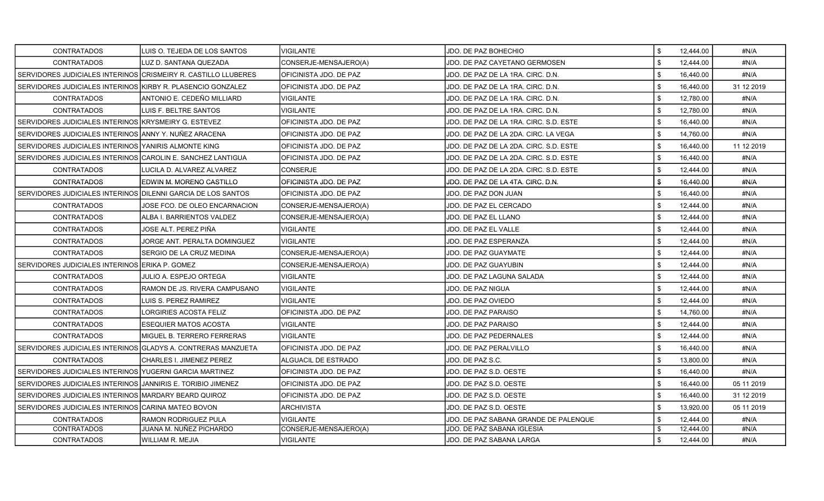| <b>CONTRATADOS</b>                                             | LUIS O. TEJEDA DE LOS SANTOS  | VIGILANTE               | JDO. DE PAZ BOHECHIO                   |            | 12,444.00 | #N/A       |
|----------------------------------------------------------------|-------------------------------|-------------------------|----------------------------------------|------------|-----------|------------|
| <b>CONTRATADOS</b>                                             | LUZ D. SANTANA QUEZADA        | CONSERJE-MENSAJERO(A)   | JDO. DE PAZ CAYETANO GERMOSEN          | \$         | 12,444.00 | #N/A       |
| SERVIDORES JUDICIALES INTERINOS CRISMEIRY R. CASTILLO LLUBERES |                               | OFICINISTA JDO. DE PAZ  | JDO. DE PAZ DE LA 1RA. CIRC. D.N.      |            | 16,440.00 | #N/A       |
| SERVIDORES JUDICIALES INTERINOS KIRBY R. PLASENCIO GONZALEZ    |                               | OFICINISTA JDO. DE PAZ  | JDO. DE PAZ DE LA 1RA. CIRC. D.N.      | \$         | 16,440.00 | 31 12 2019 |
| <b>CONTRATADOS</b>                                             | ANTONIO E. CEDEÑO MILLIARD    | VIGILANTE               | JDO. DE PAZ DE LA 1RA. CIRC. D.N.      | \$         | 12,780.00 | #N/A       |
| <b>CONTRATADOS</b>                                             | LUIS F. BELTRE SANTOS         | VIGILANTE               | JDO. DE PAZ DE LA 1RA. CIRC. D.N.      | \$         | 12,780.00 | #N/A       |
| SERVIDORES JUDICIALES INTERINOS KRYSMEIRY G. ESTEVEZ           |                               | OFICINISTA JDO. DE PAZ  | JDO. DE PAZ DE LA 1RA. CIRC. S.D. ESTE | \$         | 16,440.00 | #N/A       |
| SERVIDORES JUDICIALES INTERINOS ANNY Y. NUÑEZ ARACENA          |                               | OFICINISTA JDO. DE PAZ  | JDO. DE PAZ DE LA 2DA. CIRC. LA VEGA   | \$         | 14,760.00 | #N/A       |
| SERVIDORES JUDICIALES INTERINOS IYANIRIS ALMONTE KING          |                               | OFICINISTA JDO. DE PAZ  | JDO. DE PAZ DE LA 2DA. CIRC. S.D. ESTE | \$         | 16.440.00 | 11 12 2019 |
| SERVIDORES JUDICIALES INTERINOS CAROLIN E. SANCHEZ LANTIGUA    |                               | OFICINISTA JDO. DE PAZ  | JDO. DE PAZ DE LA 2DA. CIRC. S.D. ESTE | \$         | 16,440.00 | #N/A       |
| <b>CONTRATADOS</b>                                             | LUCILA D. ALVAREZ ALVAREZ     | <b>CONSERJE</b>         | JDO. DE PAZ DE LA 2DA. CIRC. S.D. ESTE | \$         | 12,444.00 | #N/A       |
| <b>CONTRATADOS</b>                                             | EDWIN M. MORENO CASTILLO      | OFICINISTA JDO. DE PAZ  | JDO. DE PAZ DE LA 4TA. CIRC. D.N.      | $\sqrt{3}$ | 16,440.00 | #N/A       |
| SERVIDORES JUDICIALES INTERINOS DILENNI GARCIA DE LOS SANTOS   |                               | IOFICINISTA JDO. DE PAZ | JDO. DE PAZ DON JUAN                   | \$         | 16,440.00 | #N/A       |
| CONTRATADOS                                                    | JOSE FCO. DE OLEO ENCARNACION | CONSERJE-MENSAJERO(A)   | JDO. DE PAZ EL CERCADO                 | \$         | 12.444.00 | #N/A       |
| <b>CONTRATADOS</b>                                             | ALBA I. BARRIENTOS VALDEZ     | CONSERJE-MENSAJERO(A)   | JDO. DE PAZ EL LLANO                   | \$         | 12,444.00 | #N/A       |
| <b>CONTRATADOS</b>                                             | JOSE ALT. PEREZ PIÑA          | <b>VIGILANTE</b>        | JDO. DE PAZ EL VALLE                   | \$         | 12,444.00 | #N/A       |
| <b>CONTRATADOS</b>                                             | JORGE ANT. PERALTA DOMINGUEZ  | VIGILANTE               | JDO. DE PAZ ESPERANZA                  | \$         | 12,444.00 | #N/A       |
| <b>CONTRATADOS</b>                                             | SERGIO DE LA CRUZ MEDINA      | CONSERJE-MENSAJERO(A)   | JDO. DE PAZ GUAYMATE                   | \$         | 12,444.00 | #N/A       |
| SERVIDORES JUDICIALES INTERINOS ERIKA P. GOMEZ                 |                               | CONSERJE-MENSAJERO(A)   | JDO. DE PAZ GUAYUBIN                   | \$         | 12,444.00 | #N/A       |
| <b>CONTRATADOS</b>                                             | JULIO A. ESPEJO ORTEGA        | <b>VIGILANTE</b>        | JDO. DE PAZ LAGUNA SALADA              | \$         | 12,444.00 | #N/A       |
| CONTRATADOS                                                    | RAMON DE JS. RIVERA CAMPUSANO | VIGILANTE               | JDO. DE PAZ NIGUA                      | \$         | 12,444.00 | #N/A       |
| <b>CONTRATADOS</b>                                             | LUIS S. PEREZ RAMIREZ         | <b>VIGILANTE</b>        | JDO. DE PAZ OVIEDO                     | \$         | 12,444.00 | #N/A       |
| <b>CONTRATADOS</b>                                             | LORGIRIES ACOSTA FELIZ        | OFICINISTA JDO. DE PAZ  | JDO. DE PAZ PARAISO                    | \$         | 14,760.00 | #N/A       |
| <b>CONTRATADOS</b>                                             | ESEQUIER MATOS ACOSTA         | VIGILANTE               | JDO. DE PAZ PARAISO                    | \$         | 12,444.00 | #N/A       |
| <b>CONTRATADOS</b>                                             | MIGUEL B. TERRERO FERRERAS    | VIGILANTE               | <b>JDO. DE PAZ PEDERNALES</b>          | \$         | 12,444.00 | #N/A       |
| SERVIDORES JUDICIALES INTERINOS GLADYS A. CONTRERAS MANZUETA   |                               | OFICINISTA JDO. DE PAZ  | JDO. DE PAZ PERALVILLO                 | \$         | 16,440.00 | #N/A       |
| <b>CONTRATADOS</b>                                             | CHARLES I. JIMENEZ PEREZ      | ALGUACIL DE ESTRADO     | JDO. DE PAZ S.C.                       | \$         | 13,800.00 | #N/A       |
| SERVIDORES JUDICIALES INTERINOS YUGERNI GARCIA MARTINEZ        |                               | OFICINISTA JDO. DE PAZ  | JDO. DE PAZ S.D. OESTE                 | \$         | 16,440.00 | #N/A       |
| l SERVIDORES JUDICIALES INTERINOS IJANNIRIS E. TORIBIO JIMENEZ |                               | OFICINISTA JDO. DE PAZ  | JDO. DE PAZ S.D. OESTE                 | \$         | 16,440.00 | 05 11 2019 |
| SERVIDORES JUDICIALES INTERINOS MARDARY BEARD QUIROZ           |                               | OFICINISTA JDO. DE PAZ  | JDO. DE PAZ S.D. OESTE                 | \$         | 16,440.00 | 31 12 2019 |
| SERVIDORES JUDICIALES INTERINOS CARINA MATEO BOVON             |                               | ARCHIVISTA              | JDO. DE PAZ S.D. OESTE                 | \$         | 13,920.00 | 05 11 2019 |
| <b>CONTRATADOS</b>                                             | RAMON RODRIGUEZ PULA          | VIGILANTE               | JDO. DE PAZ SABANA GRANDE DE PALENQUE  | \$         | 12,444.00 | #N/A       |
| <b>CONTRATADOS</b>                                             | JUANA M. NUÑEZ PICHARDO       | CONSERJE-MENSAJERO(A)   | JDO. DE PAZ SABANA IGLESIA             | \$         | 12,444.00 | #N/A       |
| <b>CONTRATADOS</b>                                             | WILLIAM R. MEJIA              | <b>VIGILANTE</b>        | JDO. DE PAZ SABANA LARGA               | \$         | 12,444.00 | #N/A       |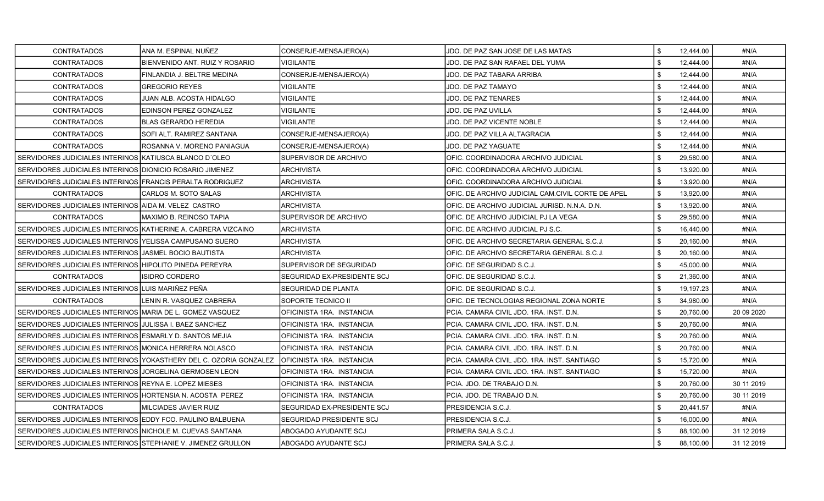| <b>CONTRATADOS</b>                                             | ANA M. ESPINAL NUÑEZ                                              | CONSERJE-MENSAJERO(A)            | JDO. DE PAZ SAN JOSE DE LAS MATAS                 | \$             | 12,444.00 | #N/A        |
|----------------------------------------------------------------|-------------------------------------------------------------------|----------------------------------|---------------------------------------------------|----------------|-----------|-------------|
| <b>CONTRATADOS</b>                                             | BIENVENIDO ANT. RUIZ Y ROSARIO                                    | <b>VIGILANTE</b>                 | JDO. DE PAZ SAN RAFAEL DEL YUMA                   | \$             | 12,444.00 | #N/A        |
| <b>CONTRATADOS</b>                                             | FINLANDIA J. BELTRE MEDINA                                        | CONSERJE-MENSAJERO(A)            | JDO. DE PAZ TABARA ARRIBA                         | \$             | 12,444.00 | #N/A        |
| <b>CONTRATADOS</b>                                             | <b>GREGORIO REYES</b>                                             | VIGILANTE                        | JDO. DE PAZ TAMAYO                                | \$             | 12,444.00 | #N/A        |
| <b>CONTRATADOS</b>                                             | JUAN ALB. ACOSTA HIDALGO                                          | VIGILANTE                        | JDO. DE PAZ TENARES                               | \$             | 12.444.00 | #N/A        |
| <b>CONTRATADOS</b>                                             | EDINSON PEREZ GONZALEZ                                            | VIGILANTE                        | JDO. DE PAZ UVILLA                                | \$             | 12,444.00 | #N/A        |
| <b>CONTRATADOS</b>                                             | IBLAS GERARDO HEREDIA                                             | <b>VIGILANTE</b>                 | JDO. DE PAZ VICENTE NOBLE                         | \$             | 12,444.00 | #N/A        |
| <b>CONTRATADOS</b>                                             | <b>SOFI ALT. RAMIREZ SANTANA</b>                                  | CONSERJE-MENSAJERO(A)            | JDO. DE PAZ VILLA ALTAGRACIA                      | \$             | 12,444.00 | #N/A        |
| <b>CONTRATADOS</b>                                             | ROSANNA V. MORENO PANJAGUA                                        | CONSERJE-MENSAJERO(A)            | JDO. DE PAZ YAGUATE                               | \$             | 12,444.00 | #N/A        |
| SERVIDORES JUDICIALES INTERINOS KATIUSCA BLANCO D'OLEO         |                                                                   | SUPERVISOR DE ARCHIVO            | OFIC. COORDINADORA ARCHIVO JUDICIAL               | \$             | 29,580.00 | #N/A        |
| SERVIDORES JUDICIALES INTERINOS IDIONICIO ROSARIO JIMENEZ      |                                                                   | ARCHIVISTA                       | OFIC. COORDINADORA ARCHIVO JUDICIAL               | \$             | 13,920.00 | #N/A        |
| SERVIDORES JUDICIALES INTERINOS FRANCIS PERALTA RODRIGUEZ      |                                                                   | ARCHIVISTA                       | OFIC. COORDINADORA ARCHIVO JUDICIAL               | \$             | 13,920.00 | #N/A        |
| <b>CONTRATADOS</b>                                             | ICARLOS M. SOTO SALAS                                             | <b>ARCHIVISTA</b>                | OFIC. DE ARCHIVO JUDICIAL CAM.CIVIL CORTE DE APEL | \$             | 13,920.00 | #N/A        |
| SERVIDORES JUDICIALES INTERINOS AIDA M. VELEZ CASTRO           |                                                                   | <b>ARCHIVISTA</b>                | OFIC. DE ARCHIVO JUDICIAL JURISD. N.N.A. D.N.     | \$             | 13,920.00 | #N/A        |
| <b>CONTRATADOS</b>                                             | MAXIMO B. REINOSO TAPIA                                           | SUPERVISOR DE ARCHIVO            | OFIC. DE ARCHIVO JUDICIAL PJ LA VEGA              | \$             | 29,580.00 | #N/A        |
| SERVIDORES JUDICIALES INTERINOS IKATHERINE A. CABRERA VIZCAINO |                                                                   | ARCHIVISTA                       | OFIC. DE ARCHIVO JUDICIAL PJ S.C.                 | \$             | 16,440.00 | #N/A        |
| SERVIDORES JUDICIALES INTERINOS YELISSA CAMPUSANO SUERO        |                                                                   | ARCHIVISTA                       | OFIC. DE ARCHIVO SECRETARIA GENERAL S.C.J.        | \$             | 20,160.00 | #N/A        |
| SERVIDORES JUDICIALES INTERINOS JJASMEL BOCIO BAUTISTA         |                                                                   | ARCHIVISTA                       | OFIC. DE ARCHIVO SECRETARIA GENERAL S.C.J.        | \$             | 20,160.00 | #N/A        |
| SERVIDORES JUDICIALES INTERINOS HIPOLITO PINEDA PEREYRA        |                                                                   | <b>SUPERVISOR DE SEGURIDAD</b>   | OFIC. DE SEGURIDAD S.C.J.                         | \$             | 45,000.00 | #N/A        |
| <b>CONTRATADOS</b>                                             | <b>ISIDRO CORDERO</b>                                             | SEGURIDAD EX-PRESIDENTE SCJ      | OFIC. DE SEGURIDAD S.C.J.                         | \$             | 21,360.00 | #N/A        |
| SERVIDORES JUDICIALES INTERINOS LUIS MARIÑEZ PEÑA              |                                                                   | SEGURIDAD DE PLANTA              | OFIC. DE SEGURIDAD S.C.J.                         | \$             | 19,197.23 | #N/A        |
| <b>CONTRATADOS</b>                                             | LENIN R. VASQUEZ CABRERA                                          | SOPORTE TECNICO II               | OFIC. DE TECNOLOGIAS REGIONAL ZONA NORTE          | \$             | 34,980.00 | #N/A        |
| SERVIDORES JUDICIALES INTERINOS MARIA DE L. GOMEZ VASQUEZ      |                                                                   | OFICINISTA 1RA. INSTANCIA        | PCIA. CAMARA CIVIL JDO. 1RA. INST. D.N.           | $\mathfrak{L}$ | 20,760.00 | 20 09 20 20 |
| SERVIDORES JUDICIALES INTERINOS JULISSA I. BAEZ SANCHEZ        |                                                                   | OFICINISTA 1RA. INSTANCIA        | PCIA. CAMARA CIVIL JDO. 1RA. INST. D.N.           | \$             | 20,760.00 | #N/A        |
| SERVIDORES JUDICIALES INTERINOS ESMARLY D. SANTOS MEJIA        |                                                                   | OFICINISTA 1RA. INSTANCIA        | PCIA. CAMARA CIVIL JDO. 1RA. INST. D.N.           | \$             | 20,760.00 | #N/A        |
| SERVIDORES JUDICIALES INTERINOS IMONICA HERRERA NOLASCO        |                                                                   | OFICINISTA 1RA. INSTANCIA        | PCIA. CAMARA CIVIL JDO. 1RA. INST. D.N.           | \$             | 20,760.00 | #N/A        |
|                                                                | SERVIDORES JUDICIALES INTERINOS YOKASTHERY DEL C. OZORIA GONZALEZ | <b>OFICINISTA 1RA. INSTANCIA</b> | PCIA. CAMARA CIVIL JDO. 1RA. INST. SANTIAGO       | \$             | 15,720.00 | #N/A        |
| SERVIDORES JUDICIALES INTERINOS JJORGELINA GERMOSEN LEON       |                                                                   | OFICINISTA 1RA. INSTANCIA        | PCIA. CAMARA CIVIL JDO. 1RA. INST. SANTIAGO       | \$             | 15,720.00 | #N/A        |
| SERVIDORES JUDICIALES INTERINOS REYNA E. LOPEZ MIESES          |                                                                   | OFICINISTA 1RA. INSTANCIA        | PCIA. JDO. DE TRABAJO D.N.                        | \$             | 20,760.00 | 30 11 2019  |
| SERVIDORES JUDICIALES INTERINOS HORTENSIA N. ACOSTA PEREZ      |                                                                   | OFICINISTA 1RA. INSTANCIA        | PCIA. JDO. DE TRABAJO D.N.                        | \$             | 20,760.00 | 30 11 2019  |
| <b>CONTRATADOS</b>                                             | MILCIADES JAVIER RUIZ                                             | SEGURIDAD EX-PRESIDENTE SCJ      | PRESIDENCIA S.C.J.                                | \$             | 20,441.57 | #N/A        |
| SERVIDORES JUDICIALES INTERINOS LEDDY FCO. PAULINO BALBUENA    |                                                                   | <b>SEGURIDAD PRESIDENTE SCJ</b>  | PRESIDENCIA S.C.J.                                | \$             | 16,000.00 | #N/A        |
| SERVIDORES JUDICIALES INTERINOS NICHOLE M. CUEVAS SANTANA      |                                                                   | ABOGADO AYUDANTE SCJ             | PRIMERA SALA S.C.J.                               |                | 88,100.00 | 31 12 2019  |
| SERVIDORES JUDICIALES INTERINOS STEPHANIE V. JIMENEZ GRULLON   |                                                                   | ABOGADO AYUDANTE SCJ             | PRIMERA SALA S.C.J.                               | \$             | 88,100.00 | 31 12 2019  |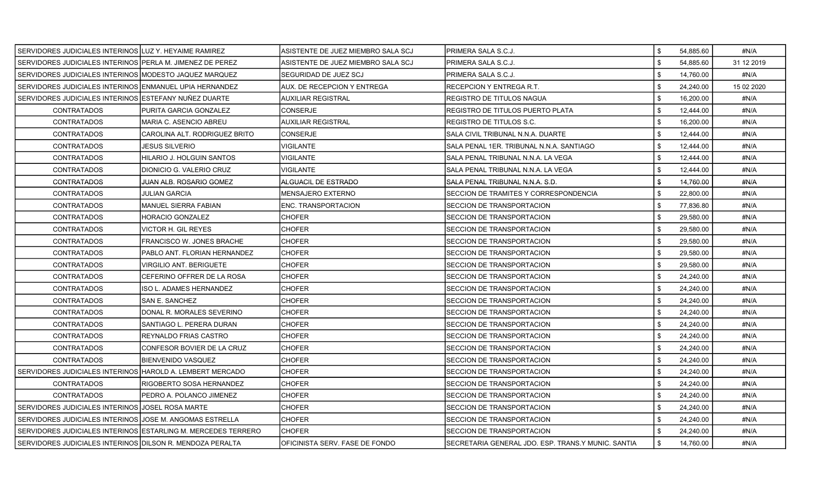| SERVIDORES JUDICIALES INTERINOS LUZ Y. HEYAIME RAMIREZ        |                                  | IASISTENTE DE JUEZ MIEMBRO SALA SCJ | PRIMERA SALA S.C.J.                                | 54,885.60                  | #N/A       |
|---------------------------------------------------------------|----------------------------------|-------------------------------------|----------------------------------------------------|----------------------------|------------|
| SERVIDORES JUDICIALES INTERINOS PERLA M. JIMENEZ DE PEREZ     |                                  | IASISTENTE DE JUEZ MIEMBRO SALA SCJ | PRIMERA SALA S.C.J.                                | \$<br>54,885.60            | 31 12 2019 |
| SERVIDORES JUDICIALES INTERINOS MODESTO JAQUEZ MARQUEZ        |                                  | SEGURIDAD DE JUEZ SCJ               | PRIMERA SALA S.C.J.                                | \$<br>14,760.00            | #N/A       |
| SERVIDORES JUDICIALES INTERINOS ENMANUEL UPIA HERNANDEZ       |                                  | <b>AUX. DE RECEPCION Y ENTREGA</b>  | RECEPCION Y ENTREGA R.T.                           | \$<br>24,240.00            | 15 02 2020 |
| SERVIDORES JUDICIALES INTERINOS LESTEFANY NUÑEZ DUARTE        |                                  | <b>AUXILIAR REGISTRAL</b>           | REGISTRO DE TITULOS NAGUA                          | \$<br>16,200.00            | #N/A       |
| <b>CONTRATADOS</b>                                            | PURITA GARCIA GONZALEZ           | <b>CONSERJE</b>                     | REGISTRO DE TITULOS PUERTO PLATA                   | \$<br>12,444.00            | #N/A       |
| <b>CONTRATADOS</b>                                            | MARIA C. ASENCIO ABREU           | <b>AUXILIAR REGISTRAL</b>           | REGISTRO DE TITULOS S.C.                           | \$<br>16,200.00            | #N/A       |
| <b>CONTRATADOS</b>                                            | CAROLINA ALT. RODRIGUEZ BRITO    | <b>CONSERJE</b>                     | SALA CIVIL TRIBUNAL N.N.A. DUARTE                  | \$<br>12,444.00            | #N/A       |
| <b>CONTRATADOS</b>                                            | JESUS SILVERIO                   | <b>VIGILANTE</b>                    | SALA PENAL 1ER. TRIBUNAL N.N.A. SANTIAGO           | \$<br>12,444.00            | #N/A       |
| <b>CONTRATADOS</b>                                            | HILARIO J. HOLGUIN SANTOS        | <b>VIGILANTE</b>                    | SALA PENAL TRIBUNAL N.N.A. LA VEGA                 | \$<br>12,444.00            | #N/A       |
| <b>CONTRATADOS</b>                                            | DIONICIO G. VALERIO CRUZ         | <b>VIGILANTE</b>                    | SALA PENAL TRIBUNAL N.N.A. LA VEGA                 | \$<br>12,444.00            | #N/A       |
| <b>CONTRATADOS</b>                                            | JUAN ALB. ROSARIO GOMEZ          | ALGUACIL DE ESTRADO                 | SALA PENAL TRIBUNAL N.N.A. S.D.                    | \$<br>14,760.00            | #N/A       |
| <b>CONTRATADOS</b>                                            | <b>JULIAN GARCIA</b>             | <b>MENSAJERO EXTERNO</b>            | SECCION DE TRAMITES Y CORRESPONDENCIA              | 22,800.00                  | #N/A       |
| <b>CONTRATADOS</b>                                            | <b>MANUEL SIERRA FABIAN</b>      | <b>ENC. TRANSPORTACION</b>          | SECCION DE TRANSPORTACION                          | \$<br>77,836.80            | #N/A       |
| CONTRATADOS                                                   | HORACIO GONZALEZ                 | <b>CHOFER</b>                       | SECCION DE TRANSPORTACION                          | \$<br>29,580.00            | #N/A       |
| <b>CONTRATADOS</b>                                            | VICTOR H. GIL REYES              | <b>CHOFER</b>                       | SECCION DE TRANSPORTACION                          | 29,580.00<br>\$            | #N/A       |
| <b>CONTRATADOS</b>                                            | <b>FRANCISCO W. JONES BRACHE</b> | <b>CHOFER</b>                       | SECCION DE TRANSPORTACION                          | \$<br>29,580.00            | #N/A       |
| <b>CONTRATADOS</b>                                            | PABLO ANT. FLORIAN HERNANDEZ     | <b>CHOFER</b>                       | SECCION DE TRANSPORTACION                          | \$<br>29,580.00            | #N/A       |
| <b>CONTRATADOS</b>                                            | <b>VIRGILIO ANT. BERIGUETE</b>   | <b>CHOFER</b>                       | SECCION DE TRANSPORTACION                          | \$<br>29,580.00            | #N/A       |
| <b>CONTRATADOS</b>                                            | CEFERINO OFFRER DE LA ROSA       | <b>CHOFER</b>                       | SECCION DE TRANSPORTACION                          | \$<br>24,240.00            | #N/A       |
| <b>CONTRATADOS</b>                                            | ISO L. ADAMES HERNANDEZ          | <b>CHOFER</b>                       | SECCION DE TRANSPORTACION                          | \$<br>24,240.00            | #N/A       |
| CONTRATADOS                                                   | <b>SAN E. SANCHEZ</b>            | <b>CHOFER</b>                       | SECCION DE TRANSPORTACION                          | $\sqrt[6]{2}$<br>24,240.00 | #N/A       |
| <b>CONTRATADOS</b>                                            | DONAL R. MORALES SEVERINO        | <b>CHOFER</b>                       | <b>SECCION DE TRANSPORTACION</b>                   | \$<br>24,240.00            | #N/A       |
| <b>CONTRATADOS</b>                                            | SANTIAGO L. PERERA DURAN         | <b>CHOFER</b>                       | SECCION DE TRANSPORTACION                          | \$<br>24,240.00            | #N/A       |
| <b>CONTRATADOS</b>                                            | REYNALDO FRIAS CASTRO            | <b>CHOFER</b>                       | SECCION DE TRANSPORTACION                          | \$<br>24,240.00            | #N/A       |
| <b>CONTRATADOS</b>                                            | CONFESOR BOVIER DE LA CRUZ       | <b>CHOFER</b>                       | SECCION DE TRANSPORTACION                          | \$<br>24,240.00            | #N/A       |
| <b>CONTRATADOS</b>                                            | <b>IBIENVENIDO VASQUEZ</b>       | <b>CHOFER</b>                       | <b>SECCION DE TRANSPORTACION</b>                   | \$<br>24,240.00            | #N/A       |
| SERVIDORES JUDICIALES INTERINOS HAROLD A. LEMBERT MERCADO     |                                  | CHOFER                              | <b>SECCION DE TRANSPORTACION</b>                   | \$<br>24,240.00            | #N/A       |
| <b>CONTRATADOS</b>                                            | RIGOBERTO SOSA HERNANDEZ         | <b>CHOFER</b>                       | SECCION DE TRANSPORTACION                          | \$<br>24,240.00            | #N/A       |
| <b>CONTRATADOS</b>                                            | PEDRO A. POLANCO JIMENEZ         | <b>CHOFER</b>                       | SECCION DE TRANSPORTACION                          | \$<br>24,240.00            | #N/A       |
| SERVIDORES JUDICIALES INTERINOS JJOSEL ROSA MARTE             |                                  | <b>CHOFER</b>                       | SECCION DE TRANSPORTACION                          | \$<br>24,240.00            | #N/A       |
| SERVIDORES JUDICIALES INTERINOS JJOSE M. ANGOMAS ESTRELLA     |                                  | <b>CHOFER</b>                       | SECCION DE TRANSPORTACION                          | 24,240.00                  | #N/A       |
| SERVIDORES JUDICIALES INTERINOS ESTARLING M. MERCEDES TERRERO |                                  | <b>CHOFER</b>                       | <b>SECCION DE TRANSPORTACION</b>                   | \$<br>24,240.00            | #N/A       |
| SERVIDORES JUDICIALES INTERINOS DILSON R. MENDOZA PERALTA     |                                  | OFICINISTA SERV. FASE DE FONDO      | SECRETARIA GENERAL JDO. ESP. TRANS.Y MUNIC. SANTIA | \$<br>14.760.00            | #N/A       |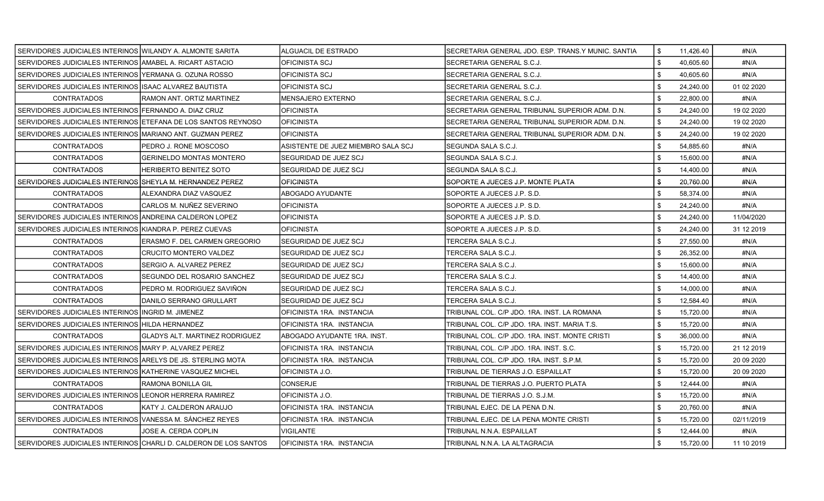| SERVIDORES JUDICIALES INTERINOS WILANDY A. ALMONTE SARITA      |                                                                  | ALGUACIL DE ESTRADO                | SECRETARIA GENERAL JDO. ESP. TRANS Y MUNIC. SANTIA | \$<br>11,426.40 | #N/A        |
|----------------------------------------------------------------|------------------------------------------------------------------|------------------------------------|----------------------------------------------------|-----------------|-------------|
| SERVIDORES JUDICIALES INTERINOS AMABEL A. RICART ASTACIO       |                                                                  | IOFICINISTA SCJ                    | SECRETARIA GENERAL S.C.J.                          | \$<br>40,605.60 | #N/A        |
| SERVIDORES JUDICIALES INTERINOS YERMANA G. OZUNA ROSSO         |                                                                  | IOFICINISTA SCJ                    | SECRETARIA GENERAL S.C.J.                          | \$<br>40,605.60 | #N/A        |
| SERVIDORES JUDICIALES INTERINOS ISAAC ALVAREZ BAUTISTA         |                                                                  | OFICINISTA SCJ                     | SECRETARIA GENERAL S.C.J.                          | \$<br>24,240.00 | 01 02 2020  |
| <b>CONTRATADOS</b>                                             | RAMON ANT. ORTIZ MARTINEZ                                        | IMENSAJERO EXTERNO                 | SECRETARIA GENERAL S.C.J.                          | \$<br>22.800.00 | #N/A        |
| SERVIDORES JUDICIALES INTERINOS FERNANDO A. DIAZ CRUZ          |                                                                  | <b>OFICINISTA</b>                  | SECRETARIA GENERAL TRIBUNAL SUPERIOR ADM. D.N.     | \$<br>24,240.00 | 19 02 2020  |
| SERVIDORES JUDICIALES INTERINOS LETEFANA DE LOS SANTOS REYNOSO |                                                                  | <b> </b> OFICINISTA                | SECRETARIA GENERAL TRIBUNAL SUPERIOR ADM. D.N.     | \$<br>24,240.00 | 19 02 2020  |
| SERVIDORES JUDICIALES INTERINOS MARIANO ANT. GUZMAN PEREZ      |                                                                  | <b>OFICINISTA</b>                  | SECRETARIA GENERAL TRIBUNAL SUPERIOR ADM. D.N.     | \$<br>24,240.00 | 19 02 2020  |
| <b>CONTRATADOS</b>                                             | PEDRO J. RONE MOSCOSO                                            | ASISTENTE DE JUEZ MIEMBRO SALA SCJ | SEGUNDA SALA S.C.J.                                | \$<br>54,885.60 | #N/A        |
| <b>CONTRATADOS</b>                                             | <b>GERINELDO MONTAS MONTERO</b>                                  | ISEGURIDAD DE JUEZ SCJ             | SEGUNDA SALA S.C.J.                                | \$<br>15.600.00 | #N/A        |
| <b>CONTRATADOS</b>                                             | <b>HERIBERTO BENITEZ SOTO</b>                                    | SEGURIDAD DE JUEZ SCJ              | SEGUNDA SALA S.C.J.                                | \$<br>14,400.00 | #N/A        |
| SERVIDORES JUDICIALES INTERINOS ISHEYLA M. HERNANDEZ PEREZ     |                                                                  | IOFICINISTA                        | SOPORTE A JUECES J.P. MONTE PLATA                  | \$<br>20,760.00 | #N/A        |
| <b>CONTRATADOS</b>                                             | ALEXANDRA DIAZ VASQUEZ                                           | <b>ABOGADO AYUDANTE</b>            | SOPORTE A JUECES J.P. S.D.                         | 58,374.00       | #N/A        |
| <b>CONTRATADOS</b>                                             | CARLOS M. NUÑEZ SEVERINO                                         | <b>OFICINISTA</b>                  | SOPORTE A JUECES J.P. S.D.                         | \$<br>24,240.00 | #N/A        |
| SERVIDORES JUDICIALES INTERINOS ANDREINA CALDERON LOPEZ        |                                                                  | <b>OFICINISTA</b>                  | SOPORTE A JUECES J.P. S.D.                         | \$<br>24.240.00 | 11/04/2020  |
| SERVIDORES JUDICIALES INTERINOS IKIANDRA P. PEREZ CUEVAS       |                                                                  | <b>OFICINISTA</b>                  | SOPORTE A JUECES J.P. S.D.                         | \$<br>24,240.00 | 31 12 2019  |
| <b>CONTRATADOS</b>                                             | <b>ERASMO F. DEL CARMEN GREGORIO</b>                             | ISEGURIDAD DE JUEZ SCJ             | TERCERA SALA S.C.J.                                | \$<br>27.550.00 | #N/A        |
| <b>CONTRATADOS</b>                                             | <b>CRUCITO MONTERO VALDEZ</b>                                    | SEGURIDAD DE JUEZ SCJ              | TERCERA SALA S.C.J.                                | 26,352.00       | #N/A        |
| <b>CONTRATADOS</b>                                             | SERGIO A. ALVAREZ PEREZ                                          | SEGURIDAD DE JUEZ SCJ              | TERCERA SALA S.C.J.                                | \$<br>15,600.00 | #N/A        |
| <b>CONTRATADOS</b>                                             | SEGUNDO DEL ROSARIO SANCHEZ                                      | <b>SEGURIDAD DE JUEZ SCJ</b>       | TERCERA SALA S.C.J.                                | \$<br>14,400.00 | #N/A        |
| <b>CONTRATADOS</b>                                             | PEDRO M. RODRIGUEZ SAVIÑON                                       | ISEGURIDAD DE JUEZ SCJ             | TERCERA SALA S.C.J.                                | \$<br>14,000.00 | #N/A        |
| <b>CONTRATADOS</b>                                             | DANILO SERRANO GRULLART                                          | <b>SEGURIDAD DE JUEZ SCJ</b>       | TERCERA SALA S.C.J.                                | \$<br>12,584.40 | #N/A        |
| SERVIDORES JUDICIALES INTERINOS INGRID M. JIMENEZ              |                                                                  | OFICINISTA 1RA. INSTANCIA          | TRIBUNAL COL. C/P JDO. 1RA. INST. LA ROMANA        | 15,720.00       | #N/A        |
| SERVIDORES JUDICIALES INTERINOS HILDA HERNANDEZ                |                                                                  | IOFICINISTA 1RA. INSTANCIA         | TRIBUNAL COL. C/P JDO. 1RA. INST. MARIA T.S.       | \$<br>15,720.00 | #N/A        |
| <b>CONTRATADOS</b>                                             | <b>GLADYS ALT. MARTINEZ RODRIGUEZ</b>                            | ABOGADO AYUDANTE 1RA. INST.        | TRIBUNAL COL. C/P JDO. 1RA. INST. MONTE CRISTI     | \$<br>36,000.00 | #N/A        |
| SERVIDORES JUDICIALES INTERINOS MARY P. ALVAREZ PEREZ          |                                                                  | <b>OFICINISTA 1RA. INSTANCIA</b>   | TRIBUNAL COL. C/P JDO. 1RA. INST. S.C.             | \$<br>15,720.00 | 21 12 2019  |
| SERVIDORES JUDICIALES INTERINOS ARELYS DE JS. STERLING MOTA    |                                                                  | OFICINISTA 1RA. INSTANCIA          | TRIBUNAL COL. C/P JDO. 1RA. INST. S.P.M.           | \$<br>15,720.00 | 20 09 20 20 |
| SERVIDORES JUDICIALES INTERINOS KATHERINE VASQUEZ MICHEL       |                                                                  | IOFICINISTA J.O.                   | TRIBUNAL DE TIERRAS J.O. ESPAILLAT                 | \$<br>15.720.00 | 20 09 20 20 |
| CONTRATADOS                                                    | RAMONA BONILLA GIL                                               | <b>CONSERJE</b>                    | TRIBUNAL DE TIERRAS J.O. PUERTO PLATA              | \$<br>12,444.00 | #N/A        |
| SERVIDORES JUDICIALES INTERINOS LEONOR HERRERA RAMIREZ         |                                                                  | OFICINISTA J.O.                    | TRIBUNAL DE TIERRAS J.O. S.J.M.                    | \$<br>15,720.00 | #N/A        |
| <b>CONTRATADOS</b>                                             | KATY J. CALDERON ARAUJO                                          | OFICINISTA 1RA. INSTANCIA          | TRIBUNAL EJEC. DE LA PENA D.N.                     | \$<br>20,760.00 | #N/A        |
| SERVIDORES JUDICIALES INTERINOS VANESSA M. SÁNCHEZ REYES       |                                                                  | OFICINISTA 1RA. INSTANCIA          | TRIBUNAL EJEC. DE LA PENA MONTE CRISTI             | \$<br>15,720.00 | 02/11/2019  |
| <b>CONTRATADOS</b>                                             | JOSE A. CERDA COPLIN                                             | VIGILANTE                          | TRIBUNAL N.N.A. ESPAILLAT                          | 12,444.00       | #N/A        |
|                                                                | SERVIDORES JUDICIALES INTERINOS CHARLI D. CALDERON DE LOS SANTOS | IOFICINISTA 1RA. INSTANCIA         | TRIBUNAL N.N.A. LA ALTAGRACIA                      | \$<br>15,720.00 | 11 10 2019  |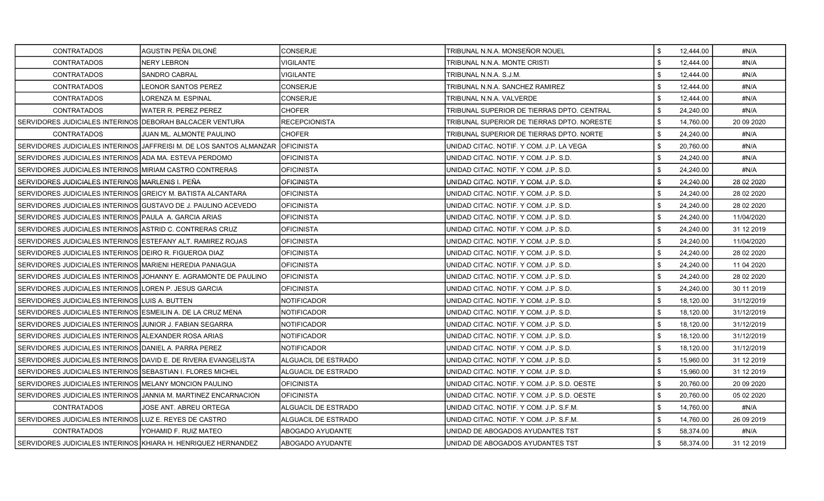| <b>CONTRATADOS</b>                                               | AGUSTIN PEÑA DILONÉ                                                            | CONSERJE             | TRIBUNAL N.N.A. MONSEÑOR NOUEL               | \$           | 12,444.00 | #N/A        |
|------------------------------------------------------------------|--------------------------------------------------------------------------------|----------------------|----------------------------------------------|--------------|-----------|-------------|
| <b>CONTRATADOS</b>                                               | <b>NERY LEBRON</b>                                                             | VIGILANTE            | TRIBUNAL N.N.A. MONTE CRISTI                 | \$           | 12,444.00 | #N/A        |
| <b>CONTRATADOS</b>                                               | <b>SANDRO CABRAL</b>                                                           | <b>VIGILANTE</b>     | TRIBUNAL N.N.A. S.J.M.                       | \$           | 12,444.00 | #N/A        |
| <b>CONTRATADOS</b>                                               | LEONOR SANTOS PEREZ                                                            | <b>CONSERJE</b>      | TRIBUNAL N.N.A. SANCHEZ RAMIREZ              | \$           | 12,444.00 | #N/A        |
| <b>CONTRATADOS</b>                                               | LORENZA M. ESPINAL                                                             | <b>CONSERJE</b>      | TRIBUNAL N.N.A. VALVERDE                     | \$           | 12,444.00 | #N/A        |
| <b>CONTRATADOS</b>                                               | WATER R. PEREZ PEREZ                                                           | CHOFER               | TRIBUNAL SUPERIOR DE TIERRAS DPTO. CENTRAL   | \$           | 24,240.00 | #N/A        |
| SERVIDORES JUDICIALES INTERINOS IDEBORAH BALCACER VENTURA        |                                                                                | <b>RECEPCIONISTA</b> | TRIBUNAL SUPERIOR DE TIERRAS DPTO. NORESTE   | \$           | 14,760.00 | 20 09 20 20 |
| <b>CONTRATADOS</b>                                               | JUAN ML. ALMONTE PAULINO                                                       | CHOFER               | TRIBUNAL SUPERIOR DE TIERRAS DPTO. NORTE     | \$           | 24,240.00 | #N/A        |
|                                                                  | SERVIDORES JUDICIALES INTERINOS JAFFREISI M. DE LOS SANTOS ALMANZAR OFICINISTA |                      | UNIDAD CITAC. NOTIF. Y COM. J.P. LA VEGA     | \$           | 20,760.00 | #N/A        |
| SERVIDORES JUDICIALES INTERINOS ADA MA. ESTEVA PERDOMO           |                                                                                | <b>OFICINISTA</b>    | JNIDAD CITAC. NOTIF. Y COM. J.P. S.D.        | \$           | 24,240.00 | #N/A        |
| SERVIDORES JUDICIALES INTERINOS MIRIAM CASTRO CONTRERAS          |                                                                                | <b>OFICINISTA</b>    | UNIDAD CITAC. NOTIF. Y COM. J.P. S.D.        | \$           | 24,240.00 | #N/A        |
| SERVIDORES JUDICIALES INTERINOS MARLENIS I. PEÑA                 |                                                                                | <b>OFICINISTA</b>    | UNIDAD CITAC. NOTIF. Y COM. J.P. S.D.        | \$           | 24,240.00 | 28 02 2020  |
| SERVIDORES JUDICIALES INTERINOS GREICY M. BATISTA ALCANTARA      |                                                                                | <b>OFICINISTA</b>    | UNIDAD CITAC. NOTIF. Y COM. J.P. S.D.        | \$           | 24,240.00 | 28 02 2020  |
| SERVIDORES JUDICIALES INTERINOS GUSTAVO DE J. PAULINO ACEVEDO    |                                                                                | <b>OFICINISTA</b>    | UNIDAD CITAC. NOTIF. Y COM. J.P. S.D.        | \$           | 24,240.00 | 28 02 2020  |
| SERVIDORES JUDICIALES INTERINOS PAULA A. GARCIA ARIAS            |                                                                                | OFICINISTA           | UNIDAD CITAC. NOTIF. Y COM. J.P. S.D.        | \$           | 24,240.00 | 11/04/2020  |
| SERVIDORES JUDICIALES INTERINOS ASTRID C. CONTRERAS CRUZ         |                                                                                | OFICINISTA           | UNIDAD CITAC. NOTIF. Y COM. J.P. S.D.        | \$           | 24,240.00 | 31 12 2019  |
| SERVIDORES JUDICIALES INTERINOS ESTEFANY ALT. RAMIREZ ROJAS      |                                                                                | <b>OFICINISTA</b>    | UNIDAD CITAC. NOTIF. Y COM. J.P. S.D.        | \$           | 24,240.00 | 11/04/2020  |
| SERVIDORES JUDICIALES INTERINOS IDEIRO R. FIGUEROA DIAZ          |                                                                                | <b>OFICINISTA</b>    | UNIDAD CITAC. NOTIF. Y COM. J.P. S.D.        | \$           | 24.240.00 | 28 02 2020  |
| SERVIDORES JUDICIALES INTERINOS MARIENI HEREDIA PANIAGUA         |                                                                                | <b>OFICINISTA</b>    | UNIDAD CITAC. NOTIF. Y COM. J.P. S.D.        | \$           | 24,240.00 | 11 04 2020  |
|                                                                  | SERVIDORES JUDICIALES INTERINOS JJOHANNY E. AGRAMONTE DE PAULINO               | <b>OFICINISTA</b>    | JNIDAD CITAC. NOTIF. Y COM. J.P. S.D.        | \$           | 24,240.00 | 28 02 2020  |
| SERVIDORES JUDICIALES INTERINOS LOREN P. JESUS GARCIA            |                                                                                | <b>OFICINISTA</b>    | UNIDAD CITAC. NOTIF. Y COM. J.P. S.D.        | \$           | 24,240.00 | 30 11 2019  |
| SERVIDORES JUDICIALES INTERINOS   LUIS A. BUTTEN                 |                                                                                | NOTIFICADOR          | UNIDAD CITAC. NOTIF. Y COM. J.P. S.D.        | \$           | 18,120.00 | 31/12/2019  |
| SERVIDORES JUDICIALES INTERINOS ESMEILIN A. DE LA CRUZ MENA      |                                                                                | <b>NOTIFICADOR</b>   | UNIDAD CITAC. NOTIF. Y COM. J.P. S.D.        | \$           | 18,120.00 | 31/12/2019  |
| SERVIDORES JUDICIALES INTERINOS JUNIOR J. FABIAN SEGARRA         |                                                                                | <b>NOTIFICADOR</b>   | UNIDAD CITAC. NOTIF. Y COM. J.P. S.D.        | \$           | 18,120.00 | 31/12/2019  |
| SERVIDORES JUDICIALES INTERINOS JALEXANDER ROSA ARIAS            |                                                                                | NOTIFICADOR          | UNIDAD CITAC. NOTIF. Y COM. J.P. S.D.        | \$           | 18,120.00 | 31/12/2019  |
| SERVIDORES JUDICIALES INTERINOS DANIEL A. PARRA PEREZ            |                                                                                | <b>NOTIFICADOR</b>   | UNIDAD CITAC. NOTIF. Y COM. J.P. S.D.        | \$           | 18,120.00 | 31/12/2019  |
| SERVIDORES JUDICIALES INTERINOS DAVID E. DE RIVERA EVANGELISTA   |                                                                                | ALGUACIL DE ESTRADO  | UNIDAD CITAC. NOTIF. Y COM. J.P. S.D.        | $\mathbf{s}$ | 15,960.00 | 31 12 2019  |
| SERVIDORES JUDICIALES INTERINOS SEBASTIAN I. FLORES MICHEL       |                                                                                | ALGUACIL DE ESTRADO  | UNIDAD CITAC. NOTIF. Y COM. J.P. S.D.        | \$           | 15,960.00 | 31 12 2019  |
| SERVIDORES JUDICIALES INTERINOS MELANY MONCION PAULINO           |                                                                                | <b>OFICINISTA</b>    | UNIDAD CITAC. NOTIF. Y COM. J.P. S.D. OESTE. | \$           | 20,760.00 | 20 09 20 20 |
| SERVIDORES JUDICIALES INTERINOS IJANNIA M. MARTINEZ ENCARNACION  |                                                                                | <b>OFICINISTA</b>    | UNIDAD CITAC. NOTIF. Y COM. J.P. S.D. OESTE. | \$           | 20.760.00 | 05 02 2020  |
| <b>CONTRATADOS</b>                                               | JOSE ANT. ABREU ORTEGA                                                         | ALGUACIL DE ESTRADO  | UNIDAD CITAC. NOTIF. Y COM. J.P. S.F.M.      | \$           | 14,760.00 | #N/A        |
| SERVIDORES JUDICIALES INTERINOS LUZ E. REYES DE CASTRO           |                                                                                | ALGUACIL DE ESTRADO  | UNIDAD CITAC. NOTIF. Y COM. J.P. S.F.M.      | \$           | 14,760.00 | 26 09 2019  |
| <b>CONTRATADOS</b>                                               | YOHAMID F. RUIZ MATEO                                                          | ABOGADO AYUDANTE     | UNIDAD DE ABOGADOS AYUDANTES TST             | \$           | 58,374.00 | #N/A        |
| I SERVIDORES JUDICIALES INTERINOS IKHIARA H. HENRIQUEZ HERNANDEZ |                                                                                | ABOGADO AYUDANTE     | UNIDAD DE ABOGADOS AYUDANTES TST             | l \$         | 58.374.00 | 31 12 2019  |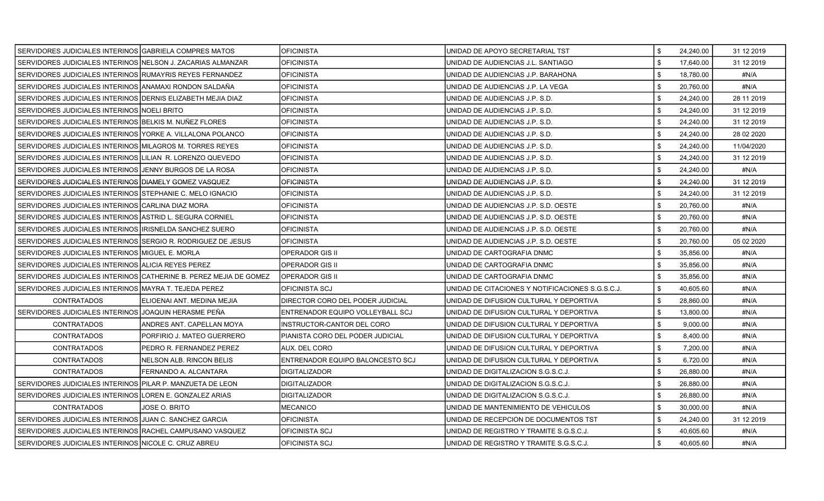| SERVIDORES JUDICIALES INTERINOS IGABRIELA COMPRES MATOS      |                                                                   | <b>OFICINISTA</b>                | UNIDAD DE APOYO SECRETARIAL TST                  | \$<br>24,240.00 | 31 12 2019 |
|--------------------------------------------------------------|-------------------------------------------------------------------|----------------------------------|--------------------------------------------------|-----------------|------------|
| SERVIDORES JUDICIALES INTERINOS NELSON J. ZACARIAS ALMANZAR  |                                                                   | <b>OFICINISTA</b>                | UNIDAD DE AUDIENCIAS J.L. SANTIAGO               | \$<br>17,640.00 | 31 12 2019 |
| SERVIDORES JUDICIALES INTERINOS RUMAYRIS REYES FERNANDEZ     |                                                                   | <b>OFICINISTA</b>                | UNIDAD DE AUDIENCIAS J.P. BARAHONA               | \$<br>18,780.00 | #N/A       |
| SERVIDORES JUDICIALES INTERINOS ANAMAXI RONDON SALDAÑA       |                                                                   | <b>OFICINISTA</b>                | UNIDAD DE AUDIENCIAS J.P. LA VEGA                | \$<br>20,760.00 | #N/A       |
| SERVIDORES JUDICIALES INTERINOS IDERNIS ELIZABETH MEJIA DIAZ |                                                                   | <b>OFICINISTA</b>                | UNIDAD DE AUDIENCIAS J.P. S.D.                   | \$<br>24,240.00 | 28 11 2019 |
| SERVIDORES JUDICIALES INTERINOS NOELI BRITO                  |                                                                   | <b>OFICINISTA</b>                | UNIDAD DE AUDIENCIAS J.P. S.D.                   | \$<br>24,240.00 | 31 12 2019 |
| SERVIDORES JUDICIALES INTERINOS IBELKIS M. NUNEZ FLORES      |                                                                   | <b>OFICINISTA</b>                | UNIDAD DE AUDIENCIAS J.P. S.D.                   | \$<br>24,240.00 | 31 12 2019 |
| SERVIDORES JUDICIALES INTERINOS YORKE A. VILLALONA POLANCO   |                                                                   | <b>OFICINISTA</b>                | UNIDAD DE AUDIENCIAS J.P. S.D.                   | \$<br>24,240.00 | 28 02 2020 |
| SERVIDORES JUDICIALES INTERINOS MILAGROS M. TORRES REYES     |                                                                   | <b>OFICINISTA</b>                | UNIDAD DE AUDIENCIAS J.P. S.D.                   | \$<br>24,240.00 | 11/04/2020 |
| SERVIDORES JUDICIALES INTERINOS LILIAN R. LORENZO QUEVEDO    |                                                                   | <b>OFICINISTA</b>                | UNIDAD DE AUDIENCIAS J.P. S.D.                   | \$<br>24,240.00 | 31 12 2019 |
| SERVIDORES JUDICIALES INTERINOS JJENNY BURGOS DE LA ROSA     |                                                                   | <b>OFICINISTA</b>                | UNIDAD DE AUDIENCIAS J.P. S.D.                   | \$<br>24,240.00 | #N/A       |
| SERVIDORES JUDICIALES INTERINOS DIAMELY GOMEZ VASQUEZ        |                                                                   | <b>OFICINISTA</b>                | UNIDAD DE AUDIENCIAS J.P. S.D.                   | \$<br>24,240.00 | 31 12 2019 |
| SERVIDORES JUDICIALES INTERINOS STEPHANIE C. MELO IGNACIO    |                                                                   | <b>OFICINISTA</b>                | UNIDAD DE AUDIENCIAS J.P. S.D.                   | \$<br>24,240.00 | 31 12 2019 |
| SERVIDORES JUDICIALES INTERINOS CARLINA DIAZ MORA            |                                                                   | <b>OFICINISTA</b>                | UNIDAD DE AUDIENCIAS J.P. S.D. OESTE             | \$<br>20,760.00 | #N/A       |
| SERVIDORES JUDICIALES INTERINOS ASTRID L. SEGURA CORNIEL     |                                                                   | <b>OFICINISTA</b>                | UNIDAD DE AUDIENCIAS J.P. S.D. OESTE             | \$<br>20,760.00 | #N/A       |
| SERVIDORES JUDICIALES INTERINOS IIRISNELDA SANCHEZ SUERO     |                                                                   | <b>OFICINISTA</b>                | UNIDAD DE AUDIENCIAS J.P. S.D. OESTE             | \$<br>20,760.00 | #N/A       |
| SERVIDORES JUDICIALES INTERINOS SERGIO R. RODRIGUEZ DE JESUS |                                                                   | <b>OFICINISTA</b>                | UNIDAD DE AUDIENCIAS J.P. S.D. OESTE             | \$<br>20,760.00 | 05 02 2020 |
| SERVIDORES JUDICIALES INTERINOS MIGUEL E. MORLA              |                                                                   | <b>OPERADOR GIS II</b>           | UNIDAD DE CARTOGRAFIA DNMC                       | \$<br>35,856.00 | #N/A       |
| SERVIDORES JUDICIALES INTERINOS ALICIA REYES PEREZ           |                                                                   | <b>OPERADOR GIS II</b>           | UNIDAD DE CARTOGRAFIA DNMC                       | \$<br>35,856.00 | #N/A       |
|                                                              | SERVIDORES JUDICIALES INTERINOS CATHERINE B. PEREZ MEJIA DE GOMEZ | IOPERADOR GIS II                 | UNIDAD DE CARTOGRAFIA DNMC                       | \$<br>35.856.00 | #N/A       |
| SERVIDORES JUDICIALES INTERINOS MAYRA T. TEJEDA PEREZ        |                                                                   | OFICINISTA SCJ                   | UNIDAD DE CITACIONES Y NOTIFICACIONES S.G.S.C.J. | \$<br>40,605.60 | #N/A       |
| <b>CONTRATADOS</b>                                           | ELIOENAI ANT. MEDINA MEJIA                                        | DIRECTOR CORO DEL PODER JUDICIAL | UNIDAD DE DIFUSION CULTURAL Y DEPORTIVA          | \$<br>28,860.00 | #N/A       |
| SERVIDORES JUDICIALES INTERINOS JJOAQUIN HERASME PEÑA        |                                                                   | ENTRENADOR EQUIPO VOLLEYBALL SCJ | UNIDAD DE DIFUSION CULTURAL Y DEPORTIVA          | \$<br>13,800.00 | #N/A       |
| <b>CONTRATADOS</b>                                           | ANDRES ANT. CAPELLAN MOYA                                         | INSTRUCTOR-CANTOR DEL CORO       | UNIDAD DE DIFUSION CULTURAL Y DEPORTIVA          | \$<br>9,000.00  | #N/A       |
| CONTRATADOS                                                  | PORFIRIO J. MATEO GUERRERO                                        | PIANISTA CORO DEL PODER JUDICIAL | UNIDAD DE DIFUSION CULTURAL Y DEPORTIVA          | \$<br>8,400.00  | #N/A       |
| <b>CONTRATADOS</b>                                           | PEDRO R. FERNANDEZ PEREZ                                          | AUX. DEL CORO                    | UNIDAD DE DIFUSION CULTURAL Y DEPORTIVA          | \$<br>7,200.00  | #N/A       |
| <b>CONTRATADOS</b>                                           | NELSON ALB. RINCON BELIS                                          | ENTRENADOR EQUIPO BALONCESTO SCJ | UNIDAD DE DIFUSION CULTURAL Y DEPORTIVA          | \$<br>6,720.00  | #N/A       |
| <b>CONTRATADOS</b>                                           | FERNANDO A. ALCANTARA                                             | <b>DIGITALIZADOR</b>             | UNIDAD DE DIGITALIZACION S.G.S.C.J.              | \$<br>26,880.00 | #N/A       |
| SERVIDORES JUDICIALES INTERINOS PILAR P. MANZUETA DE LEON    |                                                                   | DIGITALIZADOR                    | UNIDAD DE DIGITALIZACION S.G.S.C.J.              | \$<br>26,880.00 | #N/A       |
| SERVIDORES JUDICIALES INTERINOS LOREN E. GONZALEZ ARIAS      |                                                                   | <b>DIGITALIZADOR</b>             | UNIDAD DE DIGITALIZACION S.G.S.C.J.              | \$<br>26,880.00 | #N/A       |
| <b>CONTRATADOS</b>                                           | JOSE O. BRITO                                                     | MECANICO                         | UNIDAD DE MANTENIMIENTO DE VEHICULOS             | \$<br>30,000.00 | #N/A       |
| SERVIDORES JUDICIALES INTERINOS JJUAN C. SANCHEZ GARCIA      |                                                                   | <b>OFICINISTA</b>                | UNIDAD DE RECEPCION DE DOCUMENTOS TST            | \$<br>24,240.00 | 31 12 2019 |
| SERVIDORES JUDICIALES INTERINOS RACHEL CAMPUSANO VASQUEZ     |                                                                   | OFICINISTA SCJ                   | UNIDAD DE REGISTRO Y TRAMITE S.G.S.C.J.          | \$<br>40,605.60 | #N/A       |
| SERVIDORES JUDICIALES INTERINOS NICOLE C. CRUZ ABREU         |                                                                   | <b>OFICINISTA SCJ</b>            | UNIDAD DE REGISTRO Y TRAMITE S.G.S.C.J.          | \$<br>40,605.60 | #N/A       |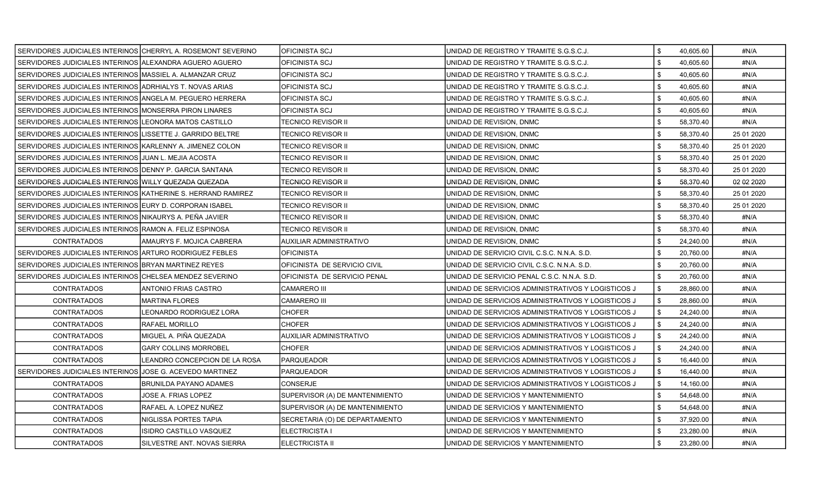| SERVIDORES JUDICIALES INTERINOS CHERRYL A. ROSEMONT SEVERINO |                                | IOFICINISTA SCJ                 | UNIDAD DE REGISTRO Y TRAMITE S.G.S.C.J.            | \$<br>40,605.60 | #N/A       |
|--------------------------------------------------------------|--------------------------------|---------------------------------|----------------------------------------------------|-----------------|------------|
| SERVIDORES JUDICIALES INTERINOS ALEXANDRA AGUERO AGUERO      |                                | OFICINISTA SCJ                  | UNIDAD DE REGISTRO Y TRAMITE S.G.S.C.J.            | \$<br>40,605.60 | #N/A       |
| SERVIDORES JUDICIALES INTERINOS MASSIEL A. ALMANZAR CRUZ     |                                | OFICINISTA SCJ                  | UNIDAD DE REGISTRO Y TRAMITE S.G.S.C.J.            | 40,605.60       | #N/A       |
| SERVIDORES JUDICIALES INTERINOS ADRHIALYS T. NOVAS ARIAS     |                                | <b>OFICINISTA SCJ</b>           | UNIDAD DE REGISTRO Y TRAMITE S.G.S.C.J.            | \$<br>40,605.60 | #N/A       |
| SERVIDORES JUDICIALES INTERINOS ANGELA M. PEGUERO HERRERA    |                                | <b>OFICINISTA SCJ</b>           | UNIDAD DE REGISTRO Y TRAMITE S.G.S.C.J.            | \$<br>40,605.60 | #N/A       |
| SERVIDORES JUDICIALES INTERINOS MONSERRA PIRON LINARES       |                                | OFICINISTA SCJ                  | UNIDAD DE REGISTRO Y TRAMITE S.G.S.C.J.            | \$<br>40,605.60 | #N/A       |
| SERVIDORES JUDICIALES INTERINOS LEONORA MATOS CASTILLO       |                                | TECNICO REVISOR II              | UNIDAD DE REVISION, DNMC                           | \$<br>58,370.40 | #N/A       |
| SERVIDORES JUDICIALES INTERINOS LISSETTE J. GARRIDO BELTRE   |                                | TECNICO REVISOR II              | UNIDAD DE REVISION, DNMC                           | \$<br>58,370.40 | 25 01 2020 |
| SERVIDORES JUDICIALES INTERINOS KARLENNY A. JIMENEZ COLON    |                                | TECNICO REVISOR II              | UNIDAD DE REVISION, DNMC                           | \$<br>58,370.40 | 25 01 2020 |
| SERVIDORES JUDICIALES INTERINOS JJUAN L. MEJIA ACOSTA        |                                | TECNICO REVISOR II              | UNIDAD DE REVISION, DNMC                           | \$<br>58,370.40 | 25 01 2020 |
| SERVIDORES JUDICIALES INTERINOS DENNY P. GARCIA SANTANA      |                                | TECNICO REVISOR II              | UNIDAD DE REVISION, DNMC                           | \$<br>58,370.40 | 25 01 2020 |
| SERVIDORES JUDICIALES INTERINOS WILLY QUEZADA QUEZADA        |                                | TECNICO REVISOR II              | UNIDAD DE REVISION, DNMC                           | \$<br>58,370.40 | 02 02 2020 |
| SERVIDORES JUDICIALES INTERINOS KATHERINE S. HERRAND RAMIREZ |                                | TECNICO REVISOR II              | UNIDAD DE REVISION, DNMC                           | \$<br>58,370.40 | 25 01 2020 |
| SERVIDORES JUDICIALES INTERINOS EURY D. CORPORAN ISABEL      |                                | TECNICO REVISOR II              | UNIDAD DE REVISION, DNMC                           | \$<br>58,370.40 | 25 01 2020 |
| SERVIDORES JUDICIALES INTERINOS NIKAURYS A. PEÑA JAVIER      |                                | TECNICO REVISOR II              | UNIDAD DE REVISION, DNMC                           | \$<br>58,370.40 | #N/A       |
| SERVIDORES JUDICIALES INTERINOS RAMON A. FELIZ ESPINOSA      |                                | TECNICO REVISOR II              | UNIDAD DE REVISION, DNMC                           | \$<br>58,370.40 | #N/A       |
| <b>CONTRATADOS</b>                                           | AMAURYS F. MOJICA CABRERA      | AUXILIAR ADMINISTRATIVO         | UNIDAD DE REVISION, DNMC                           | \$<br>24,240.00 | #N/A       |
| SERVIDORES JUDICIALES INTERINOS ARTURO RODRIGUEZ FEBLES      |                                | <b>OFICINISTA</b>               | UNIDAD DE SERVICIO CIVIL C.S.C. N.N.A. S.D.        | \$<br>20,760.00 | #N/A       |
| SERVIDORES JUDICIALES INTERINOS BRYAN MARTINEZ REYES         |                                | OFICINISTA DE SERVICIO CIVIL    | UNIDAD DE SERVICIO CIVIL C.S.C. N.N.A. S.D.        | \$<br>20,760.00 | #N/A       |
| SERVIDORES JUDICIALES INTERINOS CHELSEA MENDEZ SEVERINO      |                                | OFICINISTA DE SERVICIO PENAL    | UNIDAD DE SERVICIO PENAL C.S.C. N.N.A. S.D.        | \$<br>20,760.00 | #N/A       |
| <b>CONTRATADOS</b>                                           | ANTONIO FRIAS CASTRO           | <b>CAMARERO III</b>             | UNIDAD DE SERVICIOS ADMINISTRATIVOS Y LOGISTICOS J | \$<br>28,860.00 | #N/A       |
| <b>CONTRATADOS</b>                                           | MARTINA FLORES                 | <b>CAMARERO III</b>             | UNIDAD DE SERVICIOS ADMINISTRATIVOS Y LOGISTICOS J | \$<br>28,860.00 | #N/A       |
| <b>CONTRATADOS</b>                                           | LEONARDO RODRIGUEZ LORA        | <b>CHOFER</b>                   | UNIDAD DE SERVICIOS ADMINISTRATIVOS Y LOGISTICOS J | \$<br>24,240.00 | #N/A       |
| <b>CONTRATADOS</b>                                           | RAFAEL MORILLO                 | CHOFER                          | UNIDAD DE SERVICIOS ADMINISTRATIVOS Y LOGISTICOS J | \$<br>24,240.00 | #N/A       |
| <b>CONTRATADOS</b>                                           | MIGUEL A. PIÑA QUEZADA         | AUXILIAR ADMINISTRATIVO         | UNIDAD DE SERVICIOS ADMINISTRATIVOS Y LOGISTICOS J | \$<br>24,240.00 | #N/A       |
| <b>CONTRATADOS</b>                                           | <b>GARY COLLINS MORROBEL</b>   | <b>CHOFER</b>                   | UNIDAD DE SERVICIOS ADMINISTRATIVOS Y LOGISTICOS J | \$<br>24,240.00 | #N/A       |
| <b>CONTRATADOS</b>                                           | LEANDRO CONCEPCION DE LA ROSA  | PARQUEADOR                      | UNIDAD DE SERVICIOS ADMINISTRATIVOS Y LOGISTICOS J | \$<br>16,440.00 | #N/A       |
| SERVIDORES JUDICIALES INTERINOS JOSE G. ACEVEDO MARTINEZ     |                                | PARQUEADOR                      | UNIDAD DE SERVICIOS ADMINISTRATIVOS Y LOGISTICOS J | \$<br>16,440.00 | #N/A       |
| <b>CONTRATADOS</b>                                           | <b>BRUNILDA PAYANO ADAMES</b>  | CONSERJE                        | UNIDAD DE SERVICIOS ADMINISTRATIVOS Y LOGISTICOS J | \$<br>14,160.00 | #N/A       |
| <b>CONTRATADOS</b>                                           | JOSE A. FRIAS LOPEZ            | SUPERVISOR (A) DE MANTENIMIENTO | UNIDAD DE SERVICIOS Y MANTENIMIENTO                | \$<br>54,648.00 | #N/A       |
| <b>CONTRATADOS</b>                                           | RAFAEL A. LOPEZ NUÑEZ          | SUPERVISOR (A) DE MANTENIMIENTO | UNIDAD DE SERVICIOS Y MANTENIMIENTO                | \$<br>54,648.00 | #N/A       |
| CONTRATADOS                                                  | NIGLISSA PORTES TAPIA          | SECRETARIA (O) DE DEPARTAMENTO  | UNIDAD DE SERVICIOS Y MANTENIMIENTO                | 37,920.00       | #N/A       |
| <b>CONTRATADOS</b>                                           | <b>ISIDRO CASTILLO VASQUEZ</b> | ELECTRICISTA I                  | UNIDAD DE SERVICIOS Y MANTENIMIENTO                | \$<br>23,280.00 | #N/A       |
| <b>CONTRATADOS</b>                                           | SILVESTRE ANT. NOVAS SIERRA    | ELECTRICISTA II                 | UNIDAD DE SERVICIOS Y MANTENIMIENTO                | \$<br>23,280.00 | #N/A       |